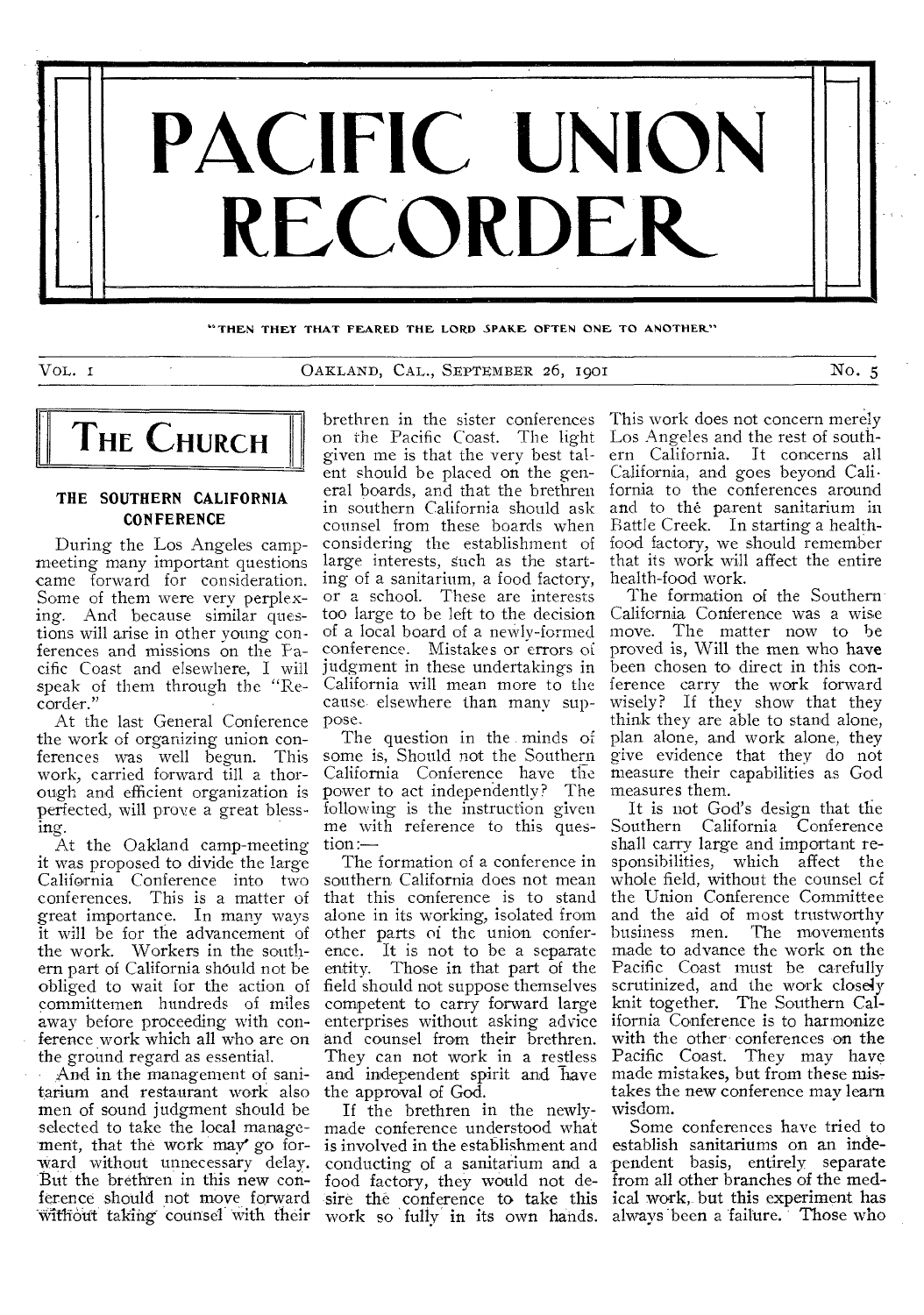

THEN THEY THAT FEARED THE LORD SPAKE OFTEN ONE TO ANOTHER."

VOL. I CAKLAND, CAL., SEPTEMBER 26, 1901 No. 5



# **THE SOUTHERN CALIFORNIA CONFERENCE**

During the Los Angeles campmeeting many important questions came forward for consideration. Some of them were very perplexing. And because similar questions will arise in other young conferences and missions on the Pacific Coast and elsewhere, I will speak of them through the "Recorder."

At the last General Conference the work of organizing union conferences was well begun. This work, carried forward till a thorough and efficient organization is perfected, will prove a great blessing.

At the Oakland camp-meeting it was proposed to divide the large California Conference into two conferences. This is a matter of great importance. In many ways it will be for the advancement of the work. Workers in the southern part of California should not be obliged to wait for the action of committemen hundreds of miles away before proceeding with conference work which all who are on the ground regard as essential.

And in the management of sanitarium and restaurant work also men of sound judgment should be selected to take the local management, that the work may go forward without unnecessary delay. But the brethren in this new conference should not move forward

brethren in the sister conferences on the Pacific Coast. The light given me is that the very best talent should be placed on the general boards, and that the brethren in southern California should ask counsel from these boards when considering the establishment of large interests, such as the starting of a sanitarium, a food factory, or a school. These are interests too large to be left to the decision of a local board of a newly-formed conference. Mistakes or errors of judgment in these undertakings in California will mean more to the cause elsewhere than many suppose.

The question in the minds of some is, Should not the Southern California Conference have the power to act independently? The following is the instruction given me with reference to this question:—

southern California does not mean that this conference is to stand the Union Conference Committee alone in its working, isolated from other parts of the union conference. It is not to be a separate made to advance the work on the entity. Those in that part of the Pacific Coast must be carefully field should not suppose themselves competent to carry forward large enterprises without asking advice ifornia Conference is to harmonize and counsel from their brethren. They can not work in a restless and independent spirit and have the approval of God.

without taking counsel with their work so fully in its own hands. always been a failure. Those who If the brethren in the newlymade conference understood what is involved in the establishment and conducting of a sanitarium and a food factory, they would not de-

This work does not concern merely Los Angeles and the rest of southern California. It concerns all California, and goes beyond California to the conferences around and to the parent sanitarium in Battle Creek. In starting a healthfood factory, we should remember that its work will affect the entire health-food work.

The formation of the Southern California Conference was a wise move. The matter now to be proved is, Will the men who have been chosen to direct in this conference carry the work forward wisely? If they show that they think they are able to stand alone, plan alone, and work alone, they give evidence that they do not measure their capabilities as God measures them.

The formation of a conference in sponsibilities, which affect the It is not God's design that the Southern California Conference shall carry large and important rewhole field, without the counsel of and the aid of most trustworthy business men. The movements scrutinized, and the work closely knit together. The Southern Calwith the other conferences on the Pacific Coast. They may have made mistakes, but from these mis, takes the new conference may learn wisdom.

sire the conference to take this ical work, but this experiment has Some conferences have tried to establish sanitariums on an independent basis, entirely separate from all other branches of the med-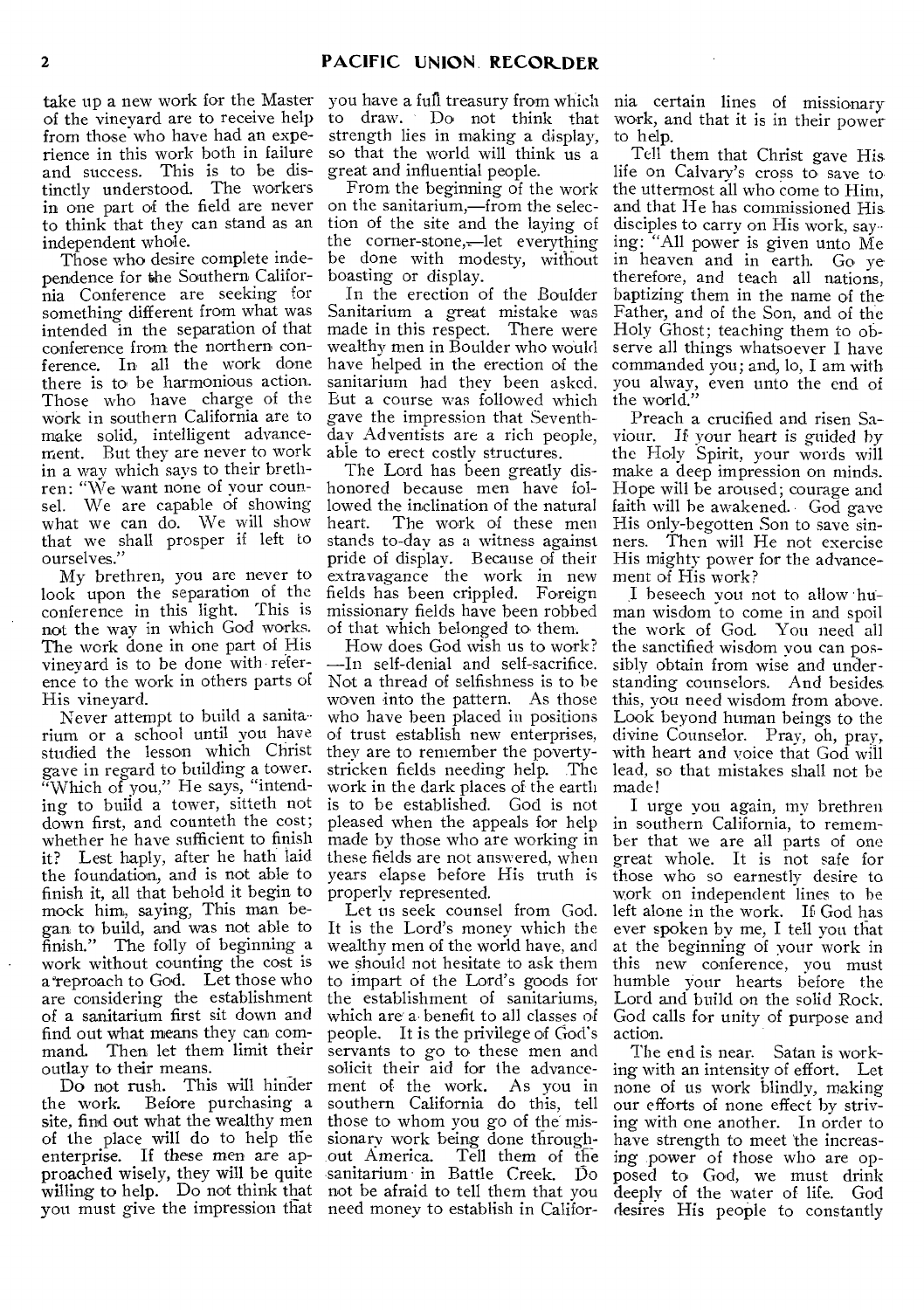of the vineyard are to receive help from those who have had an experience in this work both in failure and success. This is to be distinctly understood. The workers in one part of the field are never to think that they can stand as an independent whole.

Those who desire complete independence for the Southern California Conference are seeking for something different from what was intended in the separation of that conference from the northern conference. In all the work done there is to be harmonious action. Those who have charge of the work in southern California are to make solid, intelligent advancement. But they are never to work in a way which says to their brethren: "We want none of your counsel. We are capable of showing what we can do. We will show that we shall prosper if left to ourselves."

My brethren, you are never to look upon the separation of the conference in this light. This is not the way in which God works. The work done in one part of His vineyard is to be done with reference to the work in others parts of His vineyard.

Never attempt to build a sanitarium or a school until you have studied the lesson which Christ gave in regard to building a tower. "Which of you," He says, "intending to build a tower, sitteth not down first, and counteth the cost; whether he have sufficient to finish it? Lest haply, after he hath laid the foundation, and is not able to finish it, all that behold it begin to mock him, saying, This man began to build, and was not able to finish." The folly of beginning a work without counting the cost is a 'reproach to God. Let those who are considering the establishment of a sanitarium first sit down and find out what means they can command. Then let them limit their outlay to their means.

Do not rush. This will hinder<br>the work. Before purchasing a Before purchasing a site, find out what the wealthy men of the place will do to help the enterprise. If these men are approached wisely, they will be quite sanitarium in Battle Creek. Do willing to help. Do not think that not be afraid to tell them that you you must give the impression that need money to establish in Califor-

take up a new work for the Master you have a full treasury from which to draw. Do not think that strength lies in making a display, so that the world will think us a great and influential people.

From the beginning of the work on the sanitarium,—from the selection of the site and the laying of the corner-stone,—let everything be done with modesty, without boasting or display.

In the erection of the Boulder Sanitarium a great mistake was made in this respect. There were wealthy men in Boulder who would have helped in the erection of the sanitarium had they been asked. But a course was followed which gave the impression that Seventh- day Adventists are a rich people, able to erect costly structures.

The Lord has been greatly dishonored because men have followed the inclination of the natural heart. The work of these men stands to-day as a witness against pride of display. Because of their extravagance the work in new fields has been crippled. Foreign missionary fields have been robbed of that which belonged to them.

How does God wish us to work? —In self-denial and self-sacrifice. Not a thread of selfishness is to be woven into the pattern. As those who have been placed in positions of trust establish new enterprises, they are to remember the povertystricken fields needing help. The work in the dark places of the earth is to be established. God is not pleased when the appeals for help made by those who are working in these fields are not answered, when years elapse before His truth is properly represented.

Let us seek counsel from God. It is the Lord's money which the wealthy men of the world have, and we should not hesitate to ask them to impart of the Lord's goods for the establishment of sanitariums, which are a• benefit to all classes of people. It is the privilege of God's servants to go to these men and solicit their aid for the advance-<br>ment of the work. As you in ment of the work. southern California do this, tell those to whom you go of the missionary work being done throughout America. Tell them of the

nia certain lines of missionary work, and that it is in their power to help.

Tell them that Christ gave His life on Calvary's cross to save to the uttermost all who come to Him, and that He has commissioned His disciples to carry on His work, saying: "All power is given unto Me in heaven and in earth. Go ye therefore, and teach all nations, baptizing them in the name of the Father, and of the Son, and of the Holy Ghost; teaching them to observe all things whatsoever I have commanded you; and, lo, I am with you alway, even unto the end of the world."

Preach a crucified and risen Saviour. If your heart is guided by the Holy Spirit, your words will make a deep impression on minds. Hope will be aroused; courage and faith will he awakened. • God gave His only-begotten Son to save sinners. 'Then will He not exercise His mighty power for the advancement of His work?

.1 beseech you not to allow human wisdom to come in and spoil the work of God. You need all the sanctified wisdom you can possibly obtain from wise and understanding counselors. And besides this, you need wisdom from above. Look beyond human beings to the divine Counselor. Pray, oh, pray, with heart and voice that God will lead, so that mistakes shall not be made!

I urge you again, my brethren in southern California, to remember that we are all parts of one great whole. It is not safe for those who so earnestly desire to work on independent lines to he left alone in the work. If God has ever spoken by me, I tell you that at the beginning of your work in this new conference, you must humble your hearts before the Lord and build on the solid Rock. God calls for unity of purpose and action.

The end is near. Satan is working with an intensity of effort. Let none of us work blindly, making our efforts of none effect by striving with one another. In order to have strength to meet the increasing power of those who are opposed to God, we must drink deeply of the water of life. God desires His people to constantly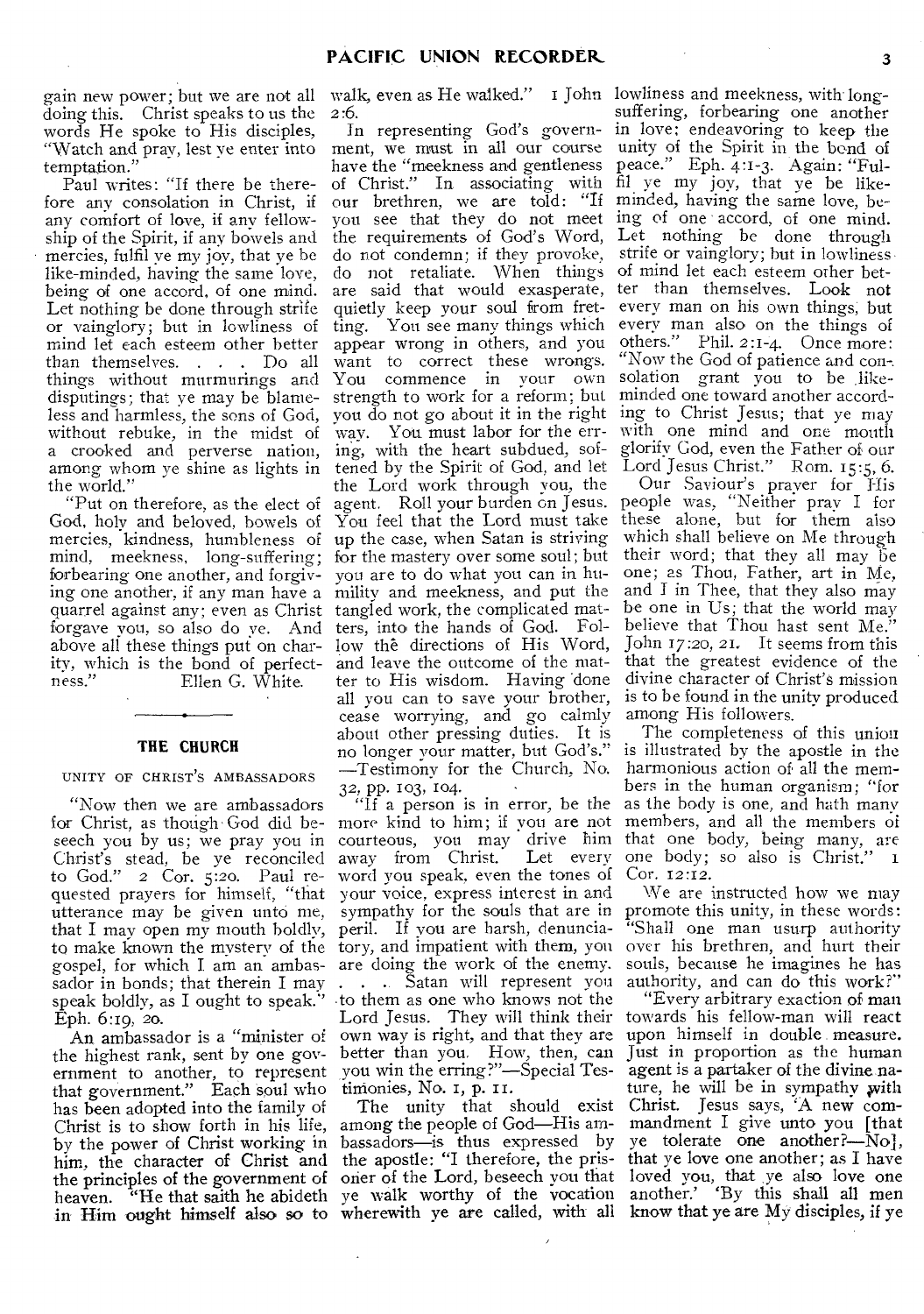gain new power; but we are not all walk, even as He walked." I John lowliness and meekness, with longdoing this. Christ speaks to us the words He spoke to His disciples, "Watch and pray, lest ye enter into temptation."

Paul writes: "If there be therefore any consolation in Christ, if any comfort of love, if any fellowship of the Spirit, if any bowels and mercies, fulfil ye my joy, that ye be like-minded, having the same love, being of one accord, of one mind. Let nothing be done through strife or vainglory; but in lowliness of mind let each esteem other better than themselves. . . . Do all things without murmurings and disputings; that ye may be blameless and harmless, the sons of God, without rebuke, in the midst of a crooked and perverse nation, among whom ye shine as lights in the world."

"Put on therefore, as the elect of God, holy and beloved, bowels of mercies, kindness, humbleness of mind, meekness, long-suffering; forbearing one another, and forgiving one another, if any man have a quarrel against any; even as Christ forgave you, so also do ye. And above all these things put on charity, which is the bond of perfect-Ellen G. White.

#### **THE CHURCH**

#### UNITY OF CHRIST'S AMBASSADORS

"Now then we are ambassadors for Christ, as though God did beseech you by us; we pray you in Christ's stead, be ye reconciled to God." 2 Cor. 5:20. Paul requested prayers for himself, "that your voice, express interest in and utterance may be given unto me, that I may open my mouth boldly, peril. If you are harsh, denunciato make known the mystery of the tory, and impatient with them, you gospel, for which I am an ambas-are doing the work of the enemy. sador in bonds; that therein I may . . . . . Satan will represent you speak boldly, as I ought to speak." Eph. 6:19, 20.

the highest rank, sent by one government to another, to represent you win the erring?"—Special Testhat government." Each soul who tinionies, No. 1, p. has been adopted into the family of Christ is to show forth in his life, among the people of God—His amby the power of Christ working in bassadors—is thus expressed by him, the character of Christ and the apostle: "I therefore, the pristhe principles of the government of heaven. "He that saith he abideth in Him ought himself also so to wherewith ye are called, with all know that ye are My disciples, if ye

2:6.

ment, we must in all our course have the "meekness and gentleness of Christ." In associating with our brethren, we are told: "If minded, having the same love, beyou see that they do not meet ing of one accord, of one mind. the requirements of God's Word, do not condemn; if they provoke, do not retaliate. When things are said that would exasperate, quietly keep your soul from fretting. You see many things which appear wrong in others, and you want to correct these wrongs.<br>You commence in your own You commence in your strength to work for a reform; but you do not go about it in the right way. You must labor for the erring, with the heart subdued, softened by the Spirit of God, and let Lord Jesus Christ." Rom. 15:5, 6. the Lord work through you, the agent. Roll your burden on Jesus. You feel that the Lord must take up the case, when Satan is striving for the mastery over some soul; but you are to do what you can in humility and meekness, and put the tangled work, the complicated matters, into the hands of God. Follow the directions of His Word, and leave the outcome of the matter to His wisdom. Having 'done all you can to save your brother, cease worrying, and go calmly about other pressing duties. It is no longer your matter, but God's." —Testimony for the Church, No. 32, pp. 103, 104.

An ambassador is a "minister of own way is right, and that they are "If a person is in error, be the more kind to him; if you are not courteous, you may drive him away from Christ. Let every word you speak, even the tones of sympathy for the souls that are in •to them as one who knows not the Lord Jesus. They will think their better than you. How, then, can

> The unity that should exist oner of the Lord, beseech you that ye walk worthy of the vocation

In representing God's govern- in love; endeavoring to keep the suffering, forbearing one another unity of the Spirit in the bond of peace." Eph. 4:1-3. Again: "Fulfil ye my joy, that ye be like-Let nothing be done through strife or vainglory; but in lowliness, of mind let each esteem other better than themselves. Look not every man on his own things; but every man also on the things of others." Phil. 2:1-4. Once more: "Now the God of patience and con-. solation grant you to be likeminded one toward another according to Christ Jesus; that ye may with one mind and one mouth glorify God, even the Father of our

> Our Saviour's prayer for His people was, "Neither pray I for these alone, but for them also which shall believe on Me through their word; that they all may  $\overrightarrow{b}e$ one; as Thou, Father, art in Me, and I in Thee, that they also may be one in Us; that the world may believe that Thou hast sent Me." John 17:20, 21. It seems from this that the greatest evidence of the divine character of Christ's mission is to be found in the unity produced among His followers.

> The completeness of this union is illustrated by the apostle in the harmonious action of all the members in the human organism; "for as the body is one, and hath many members, and all the members of that one body, being many, are one body; so also is Christ." 1 Cor. 12:12.

> We are instructed how we may promote this unity, in these words: "Shall one man usurp authority over his brethren, and hurt their souls, because he imagines he has authority, and can do this work?"

> "Every arbitrary exaction of man towards his fellow-man will react upon himself in double . measure. Just in proportion as the human agent is a partaker of the divine.nature, he will be in sympathy with Christ. Jesus says, 'A new commandment I give unto you [that ye tolerate one another?—No], that ye love one another; as I have loved you, that ye also love one another.' By this shall all men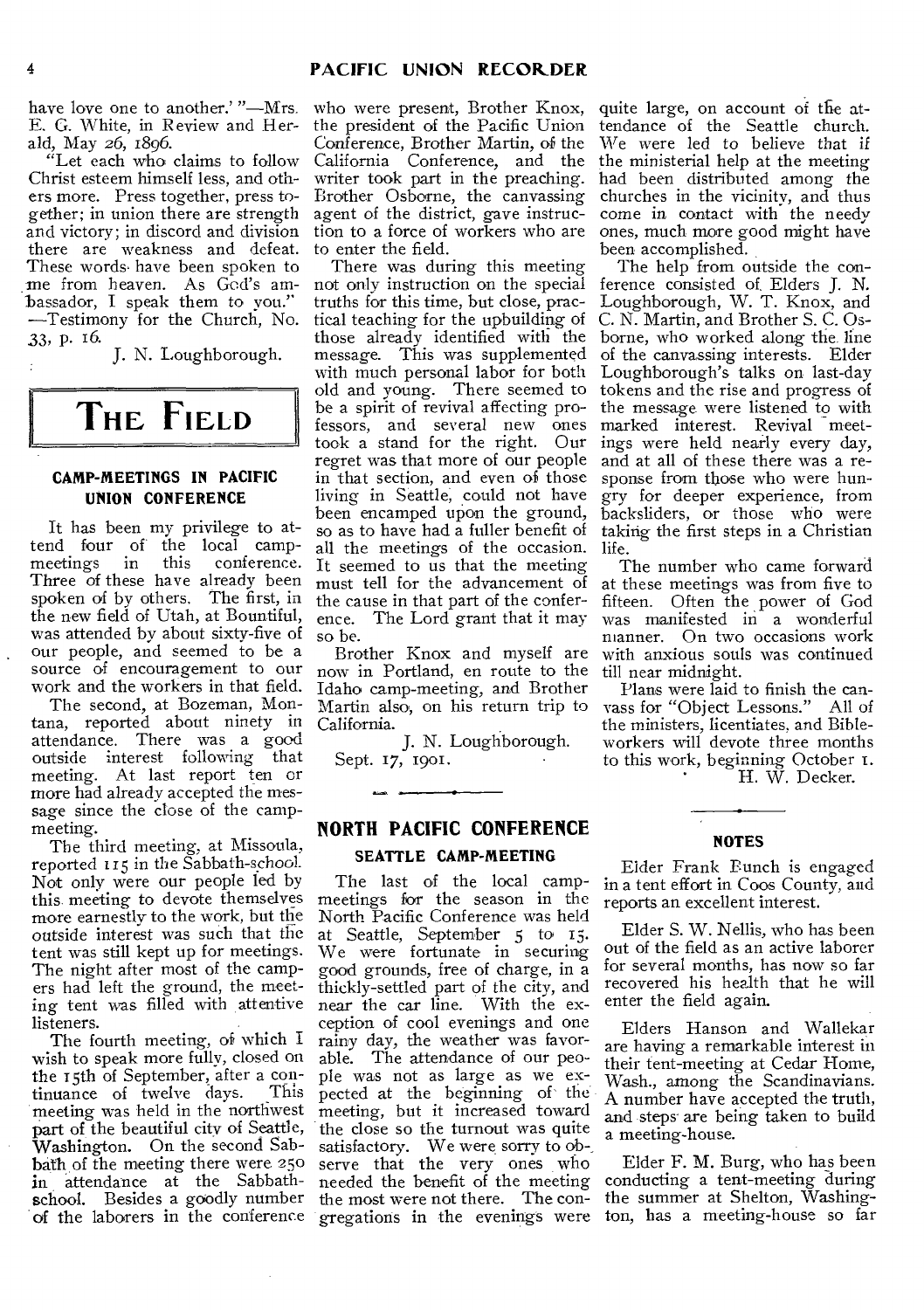have love one to another.' "—Mrs. E. G. White, in Review and Herald, May 26, 1896.

"Let each who claims to follow Christ esteem himself less, and others more. Press together, press together; in union there are strength and victory; in discord and division there are weakness and defeat. These words have been spoken to me from heaven. As God's ambassador, I speak them to you." —Testimony for the Church, No. 33, p. 16.

J. N. Loughborough.

# **THE FIELD**

# **CAMP-MEETINGS IN PACIFIC UNION CONFERENCE**

It has been my privilege to attend four of the local camp-<br>meetings in this conference. conference. Three of these have already been spoken of by others. The first, in the new field of Utah, at Bountiful, was attended by about sixty-five of our people, and seemed to be a source of encouragement to our work and the workers in that field.

The second, at Bozeman, Montana, reported about ninety in attendance. There was a good outside interest following that meeting. At last report ten or more had already accepted the *message* since the close of the campmeeting.

The third meeting, at Missoula, reported 115 in the Sabbath-school. Not only were our people led by this meeting to devote themselves more earnestly to the work, but the outside interest was such that the tent was still kept up for meetings. The night after most of the campers had left the ground, the meeting tent was filled with attentive listeners.

The fourth meeting, of which I wish to speak more fully, closed on the 15th of September, after a con-<br>tinuance of twelve days. This tinuance of twelve days. meeting was held in the northwest part of the beautiful city of Seattle, Washington. On the second Sabbath of the meeting there were 250 in attendance at the Sabbathschool. Besides a goodly number of the laborers in the conference

who were present, Brother Knox, the president of the Pacific Union Conference, Brother Martin, of the California Conference, and the writer took part in the preaching. Brother Osborne, the canvassing agent of the district, gave instruction to a force of workers who are to enter the field.

There was during this meeting not only instruction on the special truths for this time, but close, practical teaching for the upbuilding of those already identified with the message. This was supplemented with much personal labor for both old and young. There seemed to be a spirit of revival affecting professors, and several new ones took a stand for the right. Our regret was that more of our people in that section, and even of those living in Seattle, could not have been encamped upon the ground, so as to have had a fuller benefit of all the meetings of the occasion. It seemed to us that the meeting must tell for the advancement of the cause in that part of the conference. The Lord grant that it may so be.

Brother Knox and myself are now in Portland, en route to the Idaho camp-meeting, and Brother Martin also, on his return trip to California.

J. N. Loughborough. Sept. 17, 1901.

**NORTH PACIFIC CONFERENCE** 

# **SEATTLE CAMP-MEETING**

The last of the local campmeetings for the season in the North Pacific Conference was held at Seattle, September 5 to 15. We were fortunate in securing good grounds, free of charge, in a thickly-settled part of the city, and near the car line. With the exception of cool evenings and one rainy day, the weather was favorable. The attendance of our people was not as large as we expected at the beginning of the meeting, but it increased toward the close so the turnout was quite satisfactory. We were sorry to observe that the very ones who needed the benefit of the meeting the most were not there. The congregations in the evenings were ton, has a meeting-house so far

quite large, on account of the attendance of the Seattle church. We were led to believe that if the ministerial help at the meeting had been distributed among the churches in the vicinity, and thus come in contact with the needy ones, much more good might have been accomplished.

The help from outside the conference consisted of. Elders J. N. Loughborough, W. T. Knox, and C. N. Martin, and Brother S. C. Osborne, who worked along the line of the canvassing interests. Elder Loughborough's talks on last-day tokens and the rise and progress of the message were listened to with marked interest. Revival meetings were held nearly every day, and at all of these there was a response from those who were hungry for deeper experience, from backsliders, or those who were taking the first steps in a Christian life.

The number who came forward at these meetings was from five to fifteen. Often the power of God was manifested in a wonderful nianner. On two occasions work with anxious souls was continued till near midnight.

Plans were laid to finish the canvass for "Object Lessons." All of the ministers, licentiates. and Bibleworkers will devote three months workers will devote three months<br>to this work, beginning October I. H. W. Decker.

# **NOTES**

Eider Frank Bunch is engaged in a tent effort in Coos County, and reports an excellent interest.

Elder S. W. Nellis, who has been out of the field as an active laborer for several months, has now so far recovered his health that he will enter the field again.

Elders Hanson and Wallekar are having a remarkable interest in their tent-meeting at Cedar Home, Wash., among the Scandinavians. A number have accepted the truth, and steps' are being taken to build a meeting-house.

Elder F. M. Burg, who has been conducting a tent-meeting during the summer at Shelton, Washing-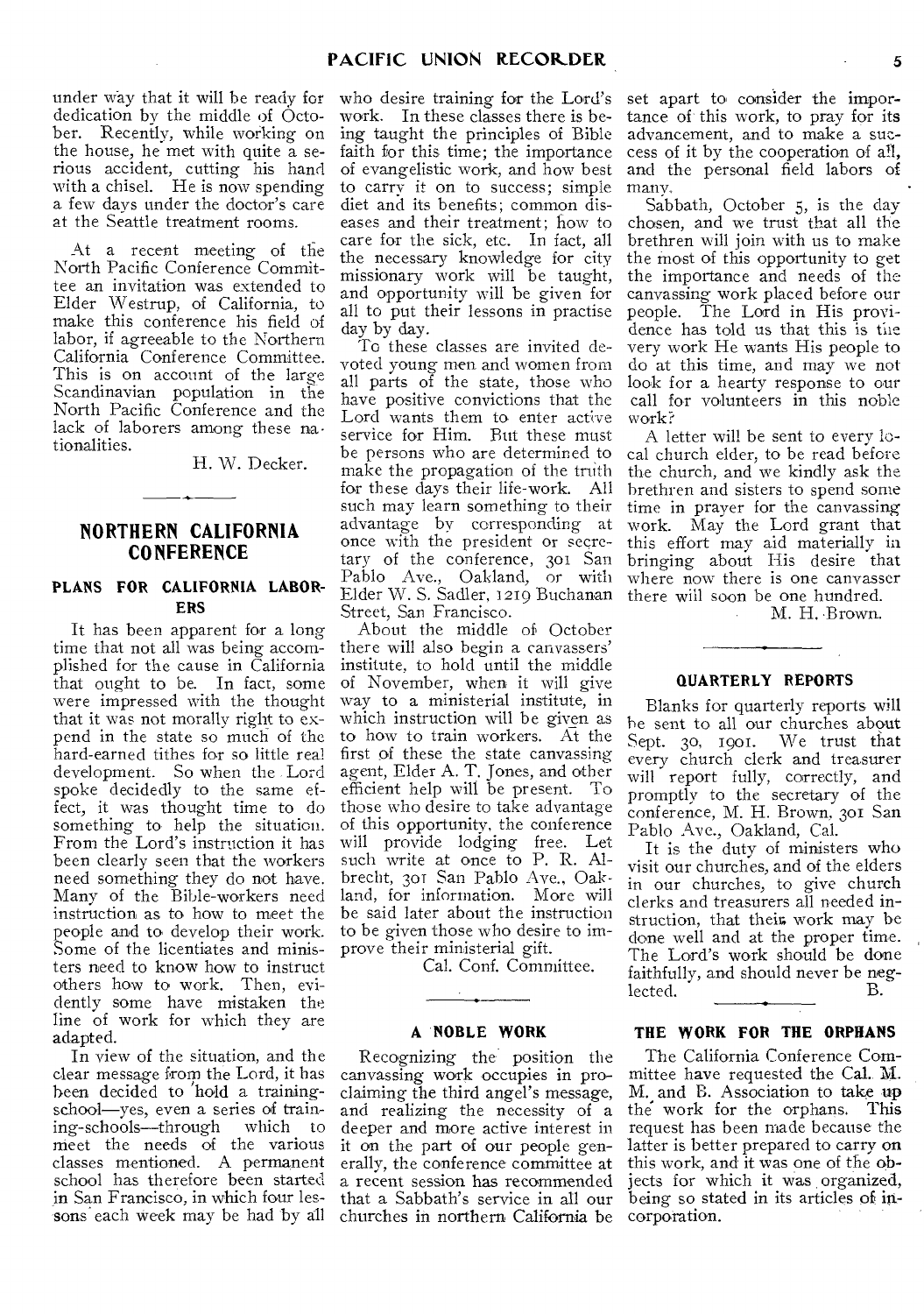under way that it will be ready for who desire training for the Lord's dedication by the middle of October. Recently, while working on the house, he met with quite a serious accident, cutting his hand with a chisel. He is now spending a few days under the doctor's care at the Seattle treatment rooms.

At a recent meeting of the North Pacific Conference Committee an invitation was extended to Elder Westrup, of California, to make this conference his field of labor, if agreeable to the Northern California Conference Committee. This is on account of the large Scandinavian population in the North Pacific Conference and the lack of laborers among these nationalities.

H. W. Decker.

# **NORTHERN CALIFORNIA CONFERENCE**

# **PLANS FOR CALIFORNIA LABOR-ERS**

It has been apparent for a long time that not all was being accomplished for the cause in California that ought to be. In fact, some were impressed with the thought that it was not morally right to expend in the state so much of the hard-earned tithes for so little real development. So when the Lord spoke decidedly to the same effect, it was thought time to do something to help the situation. From the Lord's instruction it has been clearly seen that the workers need something they do not have. Many of the Bible-workers need instruction as to how to meet the people and to develop their work. Some of the licentiates and ministers need to know how to instruct others how to work. Then, evidently some have mistaken the line of work for which they are adapted.

In view of the situation, and the clear message from the Lord, it has been decided to hold a trainingschool—yes, even a series of train-<br>ing-schools—through which to ing-schools—through nieet the needs of the various classes mentioned. A permanent school has therefore been started in San Francisco, in which four les-

work. In these classes there is being taught the principles of Bible faith for this time; the importance of evangelistic work, and how best to carry it on to success; simple diet and its benefits; common diseases and their treatment; how to care for the sick, etc. In fact, all the necessary knowledge for city missionary work will be taught, and opportunity will be given for all to put their lessons in practise day by day.

To these classes are invited devoted young men and women from all parts of the state, those who have positive convictions that the Lord wants them to enter active service for Him. But these must be persons who are determined to make the propagation of the truth for these days their life-work. All such may learn something to their advantage by corresponding at once with the president or secretary of the conference, 301 San Pablo Ave., Oakland, or with Elder W. S. Sadler, 1219 Buchanan Street, San Francisco.

About the middle of October there will also begin a canvassers' institute, to hold until the middle of November, when it will give way to a ministerial institute, in which instruction will be given as to how to train workers. At the first of these the state canvassing agent, Elder A. T. Jones, and other efficient help will be present. To those who desire to take advantage of this opportunity, the conference will provide lodging free. Let such write at once to P. R. Albrecht, 301 San Pablo Ave., Oakland, for information. More will be said later about the instruction to be given those who desire to improve their ministerial gift.

Cal. Conf. Committee.

#### **A NOBLE WORK**

sons each week may be had by all churches in northern California be Recognizing the position the canvassing work occupies in proclaiming the third angel's message, and realizing the necessity of a deeper and more active interest in it on the part of our people generally, the conference committee at a recent session has recommended that a Sabbath's service in all our

set apart to consider the importance of this work, to pray for its advancement, and to make a success of it by the cooperation of all, and the personal field labors of many.

Sabbath, October 5, is the day chosen, and we trust that all the brethren will join with us to make the most of this opportunity to get the importance and needs of the canvassing work placed before our people. The Lord in His providence has told us that this is the very work He wants His people to do at this time, and may we not look for a hearty response to our call for volunteers in this noble work?

A letter will be sent to every local church elder, to be read before the church, and we kindly ask the brethren and sisters to spend some time in prayer for the canvassing work. May the Lord grant that this effort may aid materially in bringing about His desire that where now there is one canvasser there will soon be one hundred.

M. H. Brown.

# **QUARTERLY REPORTS**

Blanks for quarterly reports will be sent to all our churches about Sept. 30, 1901. We trust that every church clerk and treasurer will report fully, correctly, and promptly to the secretary of the conference, M. H. Brown, 301 San Pablo Ave., Oakland, Cal.

It is the duty of ministers who visit our churches, and of the elders in our churches, to give church clerks and treasurers all needed instruction, that their work may be done well and at the proper time. The Lord's work should be done faithfully, and should never be neg-<br>lected lected.

# **THE WORK FOR THE ORPHANS**

The California Conference Committee have requested the Cal. M. M. and B. Association to take up the work for the orphans. This request has been made because the latter is better prepared to carry on this work, and it was one of the objects for which it was organized, being so stated in its articles of incorporation.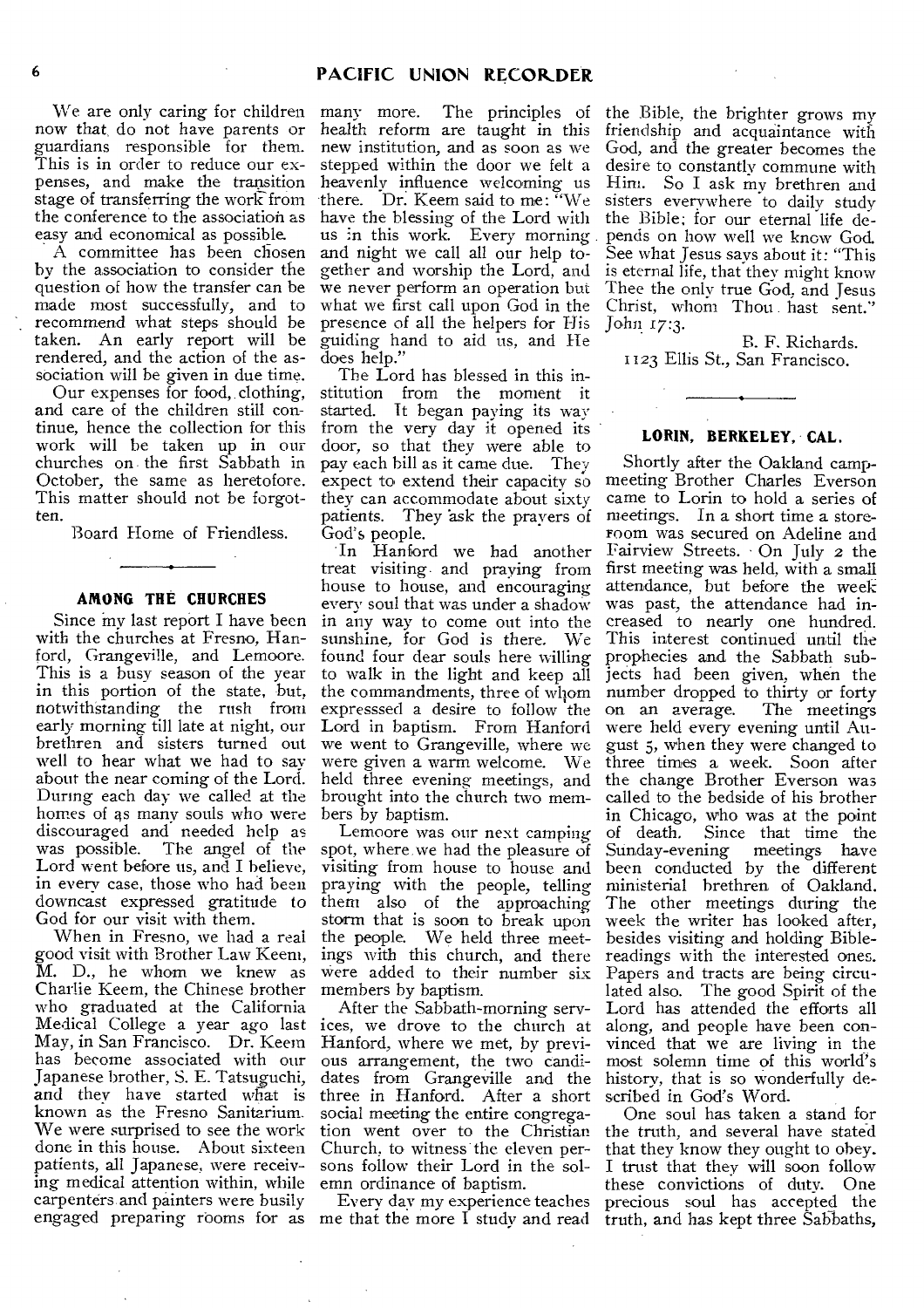We are only caring for children now that, do not have parents or guardians responsible for them. This is in order to reduce our expenses, and make the transition stage of transferring the work from the conference to the association as easy and economical as possible.

A committee has been chosen by the association to consider the question of how the transfer can be made most successfully, and to recommend what steps should be taken. An early report will be rendered, and the action of the association will be given in due time.

Our expenses for food, clothing, and care of the children still continue, hence the collection for this work will be taken up in our churches on the first Sabbath in October, the same as heretofore. This matter should not be forgotten.

Board Home of Friendless.

#### **AMONG THE CHURCHES**

Since  $mv$  last report I have been with the churches at Fresno, Hanford, Grangeville, and Lemoore. This is a busy season of the year in this portion of the state, but, notwithstanding the rush from early morning till late at night, our brethren and sisters turned out well to hear what we had to say about the near coming of the Lord. During each day we called at the homes of as many souls who were discouraged and needed help as was possible. The angel of the Lord went before us, and I believe, in every case, those who had been downcast expressed gratitude to God for our visit with them.

When in Fresno, we had a real good visit with Brother Law Keeni, M. D., he whom we knew as Charlie Keem, the Chinese brother who graduated at the California Medical College a year ago last May, in San Francisco. Dr. Keem has become associated with our Japanese brother, S. E. Tatsuguchi, and they have started what is known as the Fresno Sanitarium. We were surprised to see the work done in this house. About sixteen patients, all Japanese, were receiving medical attention within, while carpenters and painters were busily

many more. The principles of health reform are taught in this new institution, and as soon as we stepped within the door we felt a heavenly influence welcoming us there. Dr. Keem said to me: "We have the blessing of the Lord with us in this work. Every morning and night we call all our help together and worship the Lord, and we never perform an operation but what we first call upon God in the presence of all the helpers for His guiding hand to aid us, and He does help."

The Lord has blessed in this institution from the moment it started. It began paying its way from the very day it opened its door, so that they were able to pay each bill as it came due. They expect to extend their capacity so they can accommodate about sixty patients. They 'ask the prayers of God's people.

In Hanford we had another treat visiting. and praying from house to house, and encouraging every soul that was under a shadow in any way to come out into the sunshine, for God is there. We found four dear souls here willing to walk in the light and keep all the commandments, three of wliom expresssed a desire to follow the Lord in baptism. From Hanford we went to Grangeville, where we were given a warm welcome. We held three evening meetings, and brought into the church two members by baptism.

Lemoore was our next camping spot, where,we had the pleasure of visiting from house to house and praying with the people, telling them also of the approaching storm that is soon to break upon the people. We held three meetings with this church, and there Were added to their number six members by baptism.

After the Sabbath-morning services, we drove to the church at Hanford, where we met, by previous arrangement, the two candidates from Grangeville and the three in Hanford. After a short social meeting the entire congregation went over to the Christian Church, to witness the eleven persons follow their Lord in the solemn ordinance of baptism.

engaged preparing rooms for as me that the more I study and read Every day my experience teaches

the Bible, the brighter grows my friendship and acquaintance with God, and the greater becomes the desire to constantly commune with Him. So I ask my brethren and sisters everywhere to daily study the Bible; for our eternal life depends on how well we know God. See what Jesus says about it: "This is eternal life, that they might know Thee the only true God, and Jesus Christ, whom Thou hast sent." John 17:3.

B. F. Richards. 1123 Ellis St., San Francisco.

#### **LORIN, BERKELEY, CAL.**

Shortly after the Oakland campmeeting Brother Charles Everson came to Lorin to hold a series of meetings. In a short time a storeroom was secured on Adeline and Fairview Streets. On July 2 the first meeting was held, with a small attendance, but before the week was past, the attendance had increased to nearly one hundred. This interest continued until the prophecies and the Sabbath subjects had been given, when the number dropped to thirty or forty on an average. The meetings were held every evening until August 5, when they were changed to three times a week. Soon after the change Brother Everson was called to the bedside of his brother in Chicago, who was at the point of death. Since that time the Sunday-evening meetings have been conducted by the different ministerial brethren of Oakland. The other meetings during the week the writer has looked after, besides visiting and holding Biblereadings with the interested ones. Papers and tracts are being circulated also. The good Spirit of the Lord has attended the efforts all along, and people have been convinced that we are living in the most solemn time of this world's history, that is so wonderfully described in God's Word.

One soul has taken a stand for the truth, and several have stated that they know they ought to obey. I trust that they will soon follow these convictions of duty. One precious soul has accepted the truth, and has kept three Sabbaths,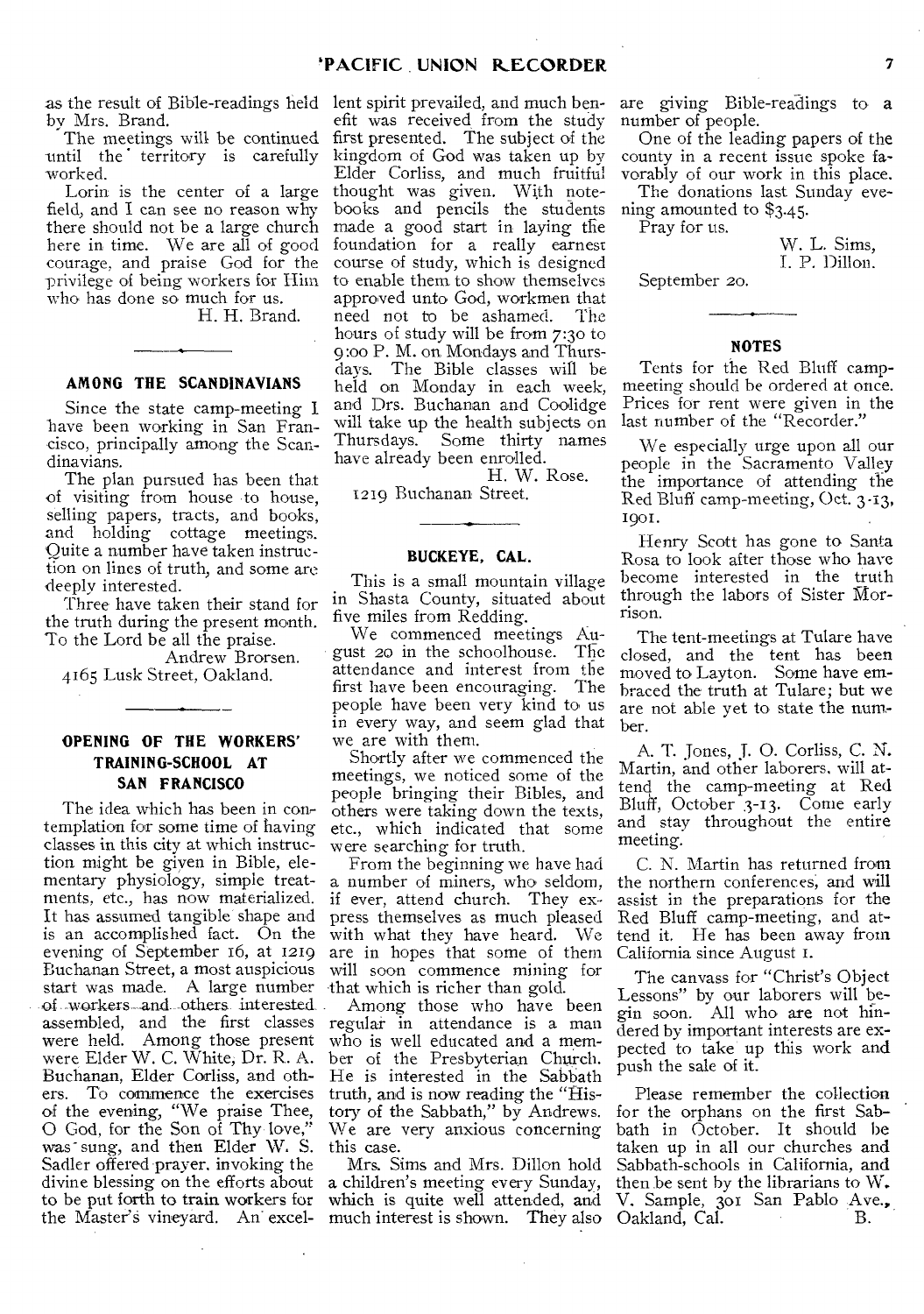by Mrs. Brand.

The meetings will be continued until the territory is carefully worked.

Lorin is the center of a large field, and I can see no reason why there should not be a large church here in time. We are all of good courage, and praise God for the privilege of being workers for Him who has done so much for us.

H. H. Brand.

#### **AMONG THE SCANDINAVIANS**

Since the state camp-meeting I have been working in San Francisco, principally among the Scandinavians.

The plan pursued has been that of visiting from house to house, selling papers, tracts, and books, and holding cottage meetings. Quite a number have taken instruction on lines of truth, and some are deeply interested.

Three have taken their stand for the truth during the present month. To the Lord be all the praise.

Andrew Brorsen. 4165 Lusk Street, Oakland.

# **OPENING OF THE WORKERS' TRAINING-SCHOOL AT SAN FRANCISCO**

The idea which has been in contemplation for some time of having classes in this city at which instruction might be giyen in Bible, elementary physiology, simple treatments, etc., has now materialized. It has assumed tangible shape and is an accomplished fact. On the evening of September 16, at 1219 Buchanan Street, a most auspicious start was made. A large number of workers and others interested. assembled, and the first classes regular in attendance is a man were held. Among those present were Elder W. C. White, Dr. R. A. Buchanan, Elder Corliss, and others. To commence the exercises of the evening, "We praise Thee, 0 God, for the Son of Thy love," was sung, and then Elder W. S. Sadler offered prayer, invoking the divine blessing on the efforts about to be put forth to train workers for the Master's vineyard. An excel-

as the result of Bible-readings held lent spirit prevailed, and much benefit was received from the study first presented. The subject of the kingdom of God was taken up by Elder Corliss, and much fruitful thought was given. With notebooks and pencils the students made a good start in laying the foundation for a really earnest course of study, which is designed to enable them to show themselves approved unto God, workmen that need not to be ashamed. The hours of study will be from 7:30 to 9 :oo P. M. on Mondays and Thursdays. The Bible classes will be held on Monday in each week, and Drs. Buchanan and Coolidge will take up the health subjects on Thursdays. Some thirty names have already been enrolled.

H. W. Rose. 1219 Buchanan Street.

#### **BUCKEYE, CAL.**

This is a small mountain village in Shasta County, situated about five miles from Redding.

We commenced meetings August 20 in the schoolhouse. The attendance and interest from the<br>first have been encouraging. The first have been encouraging. people have been very kind to us in every way, and seem glad that we are with them.

Shortly after we commenced the meetings, we noticed some of the people bringing their Bibles, and others were taking down the texts, etc., which indicated that some were searching for truth.

From the beginning we have had a number of miners, who seldom, if ever, attend church. They express themselves as much pleased with what they have heard. We are in hopes that some of them will soon commence mining for that which is richer than gold.

Among those who have been who is well educated and a member of the Presbyterian Church. He is interested in the Sabbath truth, and is now reading the "History of the Sabbath," by Andrews. We are very anxious concerning this case.

Mrs. Sims and Mrs. Dillon hold a children's meeting every Sunday, which is quite well attended, and much interest is shown. They also are giving Bible-readings to a number of people.

One of the leading papers of the county in a recent issue spoke favorably of our work in this place.

The donations last Sunday evening amounted to \$3.45.

Pray for us.

W. L. Sims, I. P. Dillon.

September 20.

#### **NOTES**

Tents for the Red Bluff campmeeting should be ordered at once. Prices for rent were given in the last number of the "Recorder."

We especially urge upon all our people in the Sacramento Valley the importance of attending the Red Bluff camp-meeting, Oct. 3-13, 1901.

Henry Scott has gone to Santa Rosa to look after those who have become interested in the truth through the labors of Sister Morrison.

The tent-meetings at Tulare have closed, and the tent has been moved to Layton. Some have embraced the truth at Tulare; but we are not able yet to state the number.

A. T. Jones, J. 0. Corliss, C. N. Martin, and other laborers, will attend the camp-meeting at Red Bluff, October .3-13. Come early and stay throughout the entire meeting.

C. N. Martin has returned from the northern conferences; and will assist in the preparations for the Red Bluff camp-meeting, and attend it. He has been away from California since August 1.

The canvass for "Christ's Object Lessons" by our laborers will begin soon. All who are not hindered by important interests are expected to take up this work and push the sale of it.

Please remember the collection for the orphans on the first Sabbath in October. It should be taken up in all our churches and Sabbath-schools in California, and then be sent by the librarians to W. V. Sample, 301 San Pablo .Ave., Oakland, Cal. B.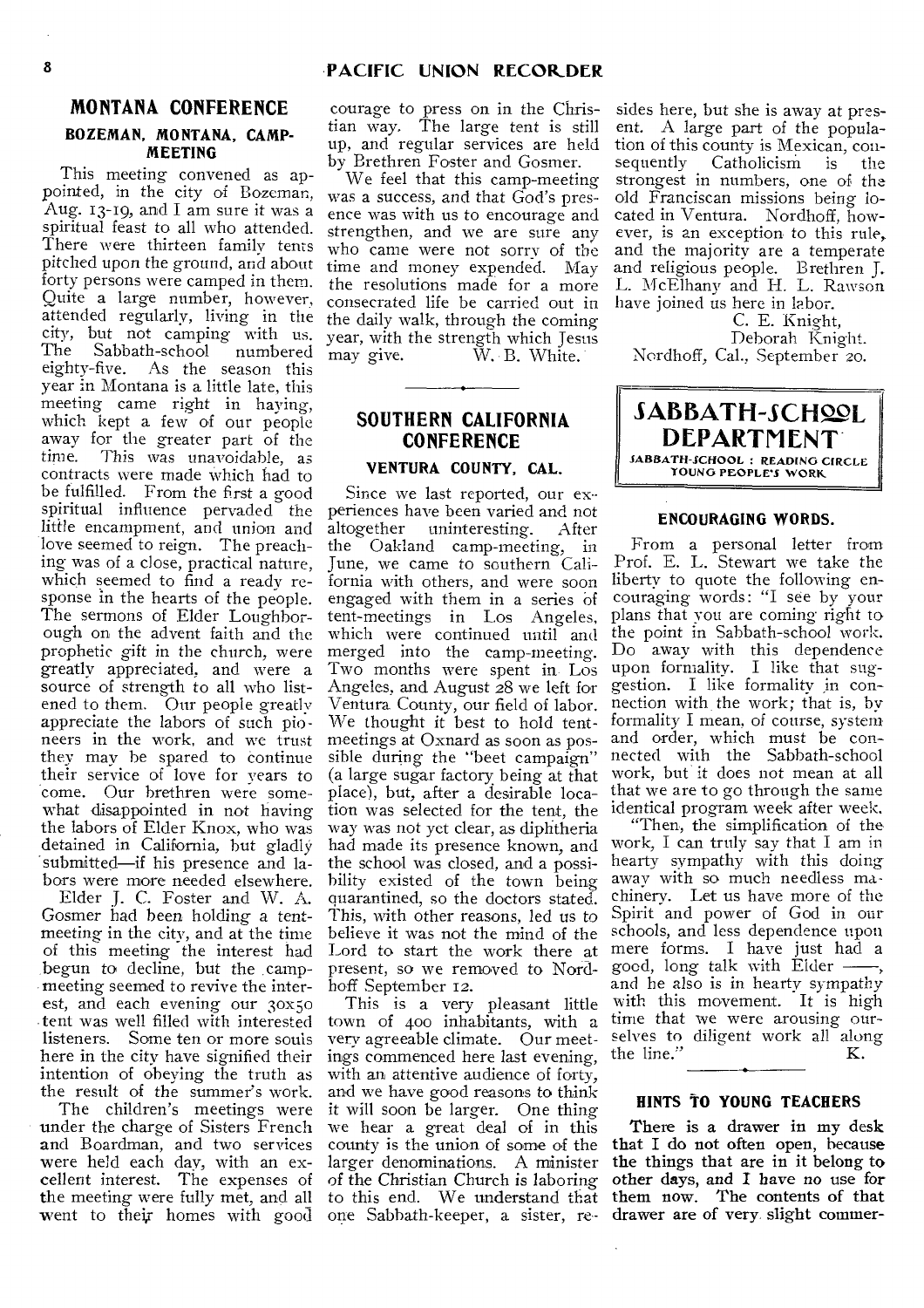# **MONTANA CONFERENCE**

#### **BOZEMAN, MONTANA, CAMP-MEETING**

This meeting convened as appointed, in the city of Bozeman, Aug. 13-19, and I am sure it was a spiritual feast to all who attended. There were thirteen family tents pitched upon the ground, and about time and money expended. May forty persons were camped in them. Quite a large number, however, attended regularly, living in the the daily walk, through the coming city, but not camping with us. city, but not camping with us. year, with the strength which Jesus<br>The Sabbath-school numbered may give. W. B. White, The Sabbath-school numbered may give.<br>eighty-five. As the season this year in Montana is a little late, this meeting came right in haying, which kept a few of our people away for the greater part of the<br>time. This was unavoidable as This was unavoidable, as contracts were made Which had to be fulfilled. From the first a good spiritual influence pervaded the periences have been varied and not little encampment, and union and love seemed to reign. The preaching was of a close, practical nature, which seemed to find a ready response in the hearts of the people. The sermons of Elder Loughborough on the advent faith and the prophetic gift in the church, were greatly appreciated, and were a source of strength to all who listened to them. Our people greatly appreciate the labors of such pioneers in the work, and we trust they may be spared to continue their service of love for years to come. Our brethren were somewhat disappointed in not having the labors of Elder Knox, who was detained in California, but gladly submitted—if his presence and labors were more needed elsewhere.

Elder J. C. Foster and W. A. Gosmer had been holding a tentmeeting in the city, and at the time of this meeting the interest had begun to decline, but the .campmeeting seemed to revive the interest, and each evening our 3ox5o -tent was well filled with interested listeners. Some ten or more souls here in the city have signified their intention of obeying the truth as the result of the summer's work.

The children's meetings were under the charge of Sisters French and Boardman, and two services were held each day, with an excellent interest. The expenses of the meeting were fully met, and all went to their homes with good one Sabbath-keeper, a sister, re-

courage to press on in the Christian way. The large tent is still up, and regular services are held by Brethren Foster and Gosmer.

We feel that this camp-meeting was a success, and that God's presence was with us to encourage and strengthen, and we are sure any who came were not sorry of the the resolutions made for a more consecrated life be carried out in W. B. White.

# **SOUTHERN CALIFORNIA CONFERENCE**

# **VENTURA COUNTY, CAL.**

Since we last reported, our exaltogether uninteresting. After the Oakland camp-meeting, in June, we came to southern California with others, and were soon engaged with them in a series of tent-meetings in Los Angeles, which were continued until and merged into the camp-meeting. Two months were spent in- Los Angeles, and August 28 we left for Ventura County, our field of labor. We thought it best to hold tentmeetings at Oxnard as soon as possible during the "beet campaign" (a large sugar factory being at that place), but, after a desirable location was selected for the tent, the way was not yet clear, as diphtheria had made its presence known, and the school was closed, and a possibility existed of the town being quarantined, so the doctors stated. This, with other reasons, led us to believe it was not the mind of the Lord to start the work there at present, so we removed to Nordhoff September 12.

This is a very pleasant little town of 400 inhabitants, with a very agreeable climate. Our meetings commenced here last evening, the line." K. with an attentive audience of forty, and we have good reasons to think it will soon be larger. One thing we hear a great deal of in this county is the union of some of the larger denominations. A minister of the Christian Church is laboring to this end. We understand that

sides here, but she is away at present. A large part of the population of this county is Mexican, con-<br>sequently Catholicism is the sequently Catholicism is strongest in numbers, one of the old Franciscan missions being located in Ventura. Nordhoff, however, is an exception to this rule, and the majority are a temperate and religious people. Brethren J. L. McElhany and H. L. Rawson have joined us here in labor.

C. E. Knight, Deborah Knight. Nordhoff, Cal., September 20.



#### **ENCOURAGING WORDS.**

From a personal letter from Prof. E. L. Stewart we take the liberty to quote the following encouraging words: "I see by your plans that you are coming right to the point in Sabbath-school work. Do away with this dependence upon formality. I like that suggestion. I like formality in connection with the work; that is, by formality I mean, of course, system and order, which must be connected with the Sabbath-school work, but it does not mean at all that we are to go through the same identical program week after week.

"Then, the simplification of the work, I can truly say that I am in hearty sympathy with this doing away with so much needless machinery. Let us have more of the Spirit and power of God in our schools, and less dependence upon mere forms. I have just had a good, long talk with Elder and he also is in hearty sympathy with this movement. It is high time that we were arousing ourselves to diligent work all along the line."  $K$ .

### **HINTS TO YOUNG TEACHERS**

There is a drawer in my desk that I do not often open, because the things that are in it belong to other days, and I have no *use* for them now. The contents of that drawer are of very slight commer-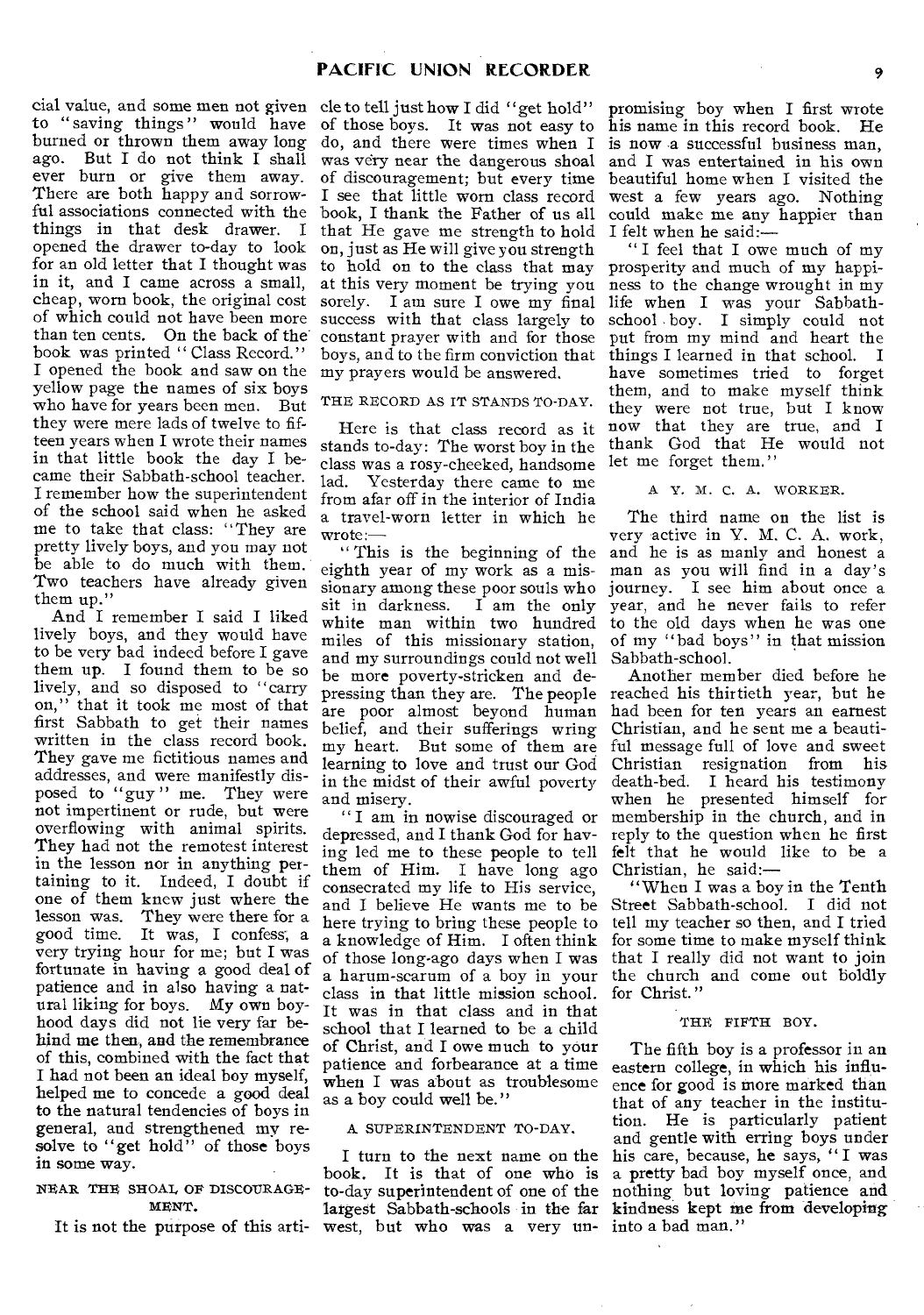cial value, and some men not given cle to tell just how I did "get hold" to "saving things" would have of those boys. It was not easy to burned or thrown them away long ago. But I do not think I shall ever burn or give them away. There are both happy and sorrowful associations connected with the book, I thank the Father of us all things in that desk drawer. I opened the drawer to-day to look for an old letter that I thought was in it, and I came across a small, cheap, worn book, the original cost of which could not have been more than ten cents. On the back of the book was printed "Class Record." I opened the book and saw on the yellow page the names of six boys who have for years been men. But they were mere lads of twelve to fifteen years when I wrote their names in that little book the day I became their Sabbath-school teacher. I remember how the superintendent of the school said when he asked me to take that class: "They are pretty lively boys, and you may not be able to do much with them. Two teachers have already given them up."

And I remember I said I liked lively boys, and they would have to be very bad indeed before I gave them up. I found them to be so lively, and so disposed to "carry on," that it took me most of that first Sabbath to get their names written in the class record book. They gave me fictitious names and addresses, and were manifestly disposed to "guy" me. They were not impertinent or rude, but were overflowing with animal spirits. They had not the remotest interest in the lesson nor in anything pertaining to it. Indeed, I doubt if one of them knew just where the lesson was. They were there for a good time. It was, I confess; a very trying hour for me; but I was fortunate in having a good deal of patience and in also having a natural liking for boys. My own boyhood days did not lie very far behind me then, and the remembrance of this, combined with the fact that **I** had not been an ideal boy myself, helped me to concede a good deal to the natural tendencies of boys in general, and strengthened my resolve to "get hold" of those boys in some way.

#### NEAR THE SHOAL OF DISCOURAGE-MENT.

It is not the purpose of this arti-

do, and there were times when I was very near the dangerous shoal of discouragement; but every time I see that little worn class record that He gave me strength to hold I felt when he said: on, just as He will give you strength to hold on to the class that may at this very moment be trying you sorely. I am sure I owe my final success with that class largely to constant prayer with and for those my prayers would be answered.

THE RECORD AS IT STANDS TO-DAY.

Here is that class record as it stands to-day: The worst boy in the class was a rosy-cheeked, handsome lad. Yesterday there came to me from afar off in the interior of India a travel-worn letter in which he wrote:—

" This is the beginning of the eighth year of my work as a missionary among these poor souls who sit in darkness. I am the only white man within two hundred miles of this missionary station, and my surroundings could not well be more poverty-stricken and depressing than they are. The people are poor almost beyond human belief, and their sufferings wring my heart. But some of them are learning to love and trust our God in the midst of their awful poverty and misery.

" I am in nowise discouraged or depressed, and I thank God for having led me to these people to tell them of Him. I have long ago consecrated my life to His service, and I believe He wants me to be here trying to bring these people to a knowledge of Him. I often think of those long-ago days when I was a harum-scarum of a boy in your the church and come out boldly class in that little mission school. for Christ." It was in that class and in that school that I learned to be a child of Christ, and I owe much to your patience and forbearance at a time when I was about as troublesome as a boy could well be."

#### A SUPERINTENDENT TO-DAY.

I turn to the next name on the book. It is that of one who is to-day superintendent of one of the west, but who was a very un- into a bad man."

promising boy when I first wrote his name in this record book. He is now a successful business man, and I was entertained in his own beautiful home when I visited the west a few years ago. Nothing could make me any happier than

boys, and to the firm conviction that things I learned in that school. I " I feel that I owe much of my prosperity and much of my happiness to the change wrought in my life when I was your Sabbathschool boy. I simply could not put from my mind and heart the have sometimes tried to forget them, and to make myself think they were not true, but I know now that they are true, and I thank God that He would not let me forget them."

A Y. M. C. A. WORKER.

The third name on the list is very active in Y. M. C. A. work, and he is as manly and honest a man as you will find in a day's journey. I see him about once a year, and he never fails to refer to the old days when he was one of my "bad boys" in that mission Sabbath-school.

Another member died before he reached his thirtieth year, but he had been for ten years an earnest Christian, and he sent me a beautiful message full of love and sweet Christian resignation from his death-bed. I heard his testimony when he presented himself for membership in the church, and in reply to the question when he first felt that he would like to be a Christian, he said:—

"When I was a boy in the Tenth Street Sabbath-school. I did not tell my teacher so then, and I tried for some time to make myself think that I really did not want to join

#### THE FIFTH BOY.

largest Sabbath-schools in the far kindness kept me from developing The fifth boy is a professor in an eastern college, in which his influence for good is more marked than that of any teacher in the institution. He is particularly patient and gentle with erring boys under his care, because, he says, "I was a pretty bad boy myself once, and nothing but loving patience and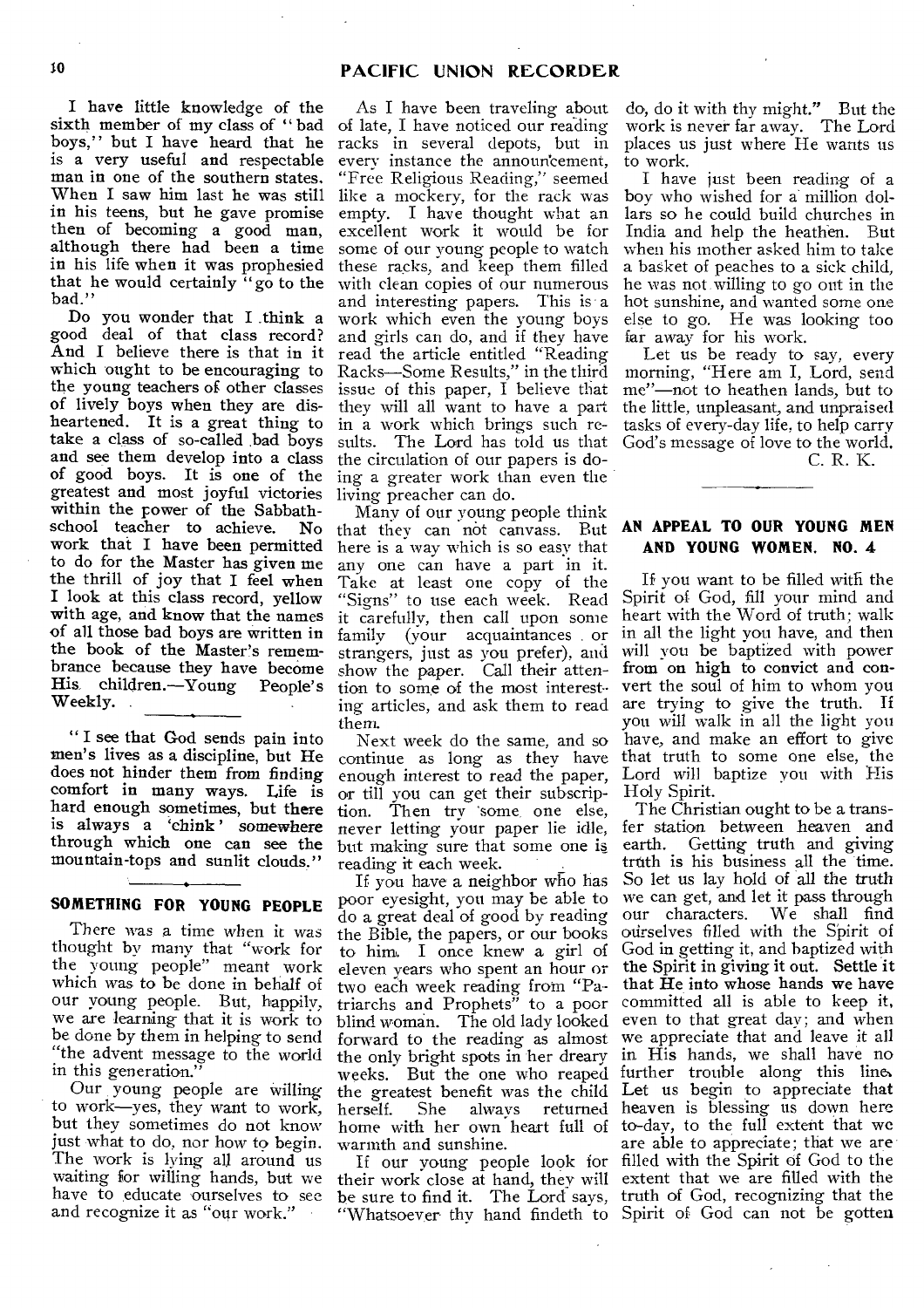I have little knowledge of the sixth member of my class of " bad boys," but I have heard that he is a very useful and respectable man in one of the southern states. When I saw him last he was still in his teens, but he gave promise then of becoming a good man, although there had been a time in his life when it was prophesied that he would certainly  $\log$  to the bad."

Do you wonder that I .think a good deal of that class record? And I believe there is that in it which ought to be encouraging to the young teachers of other classes of lively boys when they are disheartened. It is a great thing to take a class of so-called bad boys and see them develop into a class of good boys. It is one of the greatest and most joyful victories within the rower of the Sabbathschool teacher to achieve. No work that I have been permitted to do for the Master has given me the thrill of joy that I feel when I look at this class record, yellow with age, and know that the names of all those bad boys are written in the book of the Master's remembrance because they have become<br>His children.—Voung People's His. children.—Young Weekly.

" I see that God sends pain into men's lives as a discipline, but He does not hinder them from finding comfort in many ways. Life is hard enough sometimes, but there is always a `chink' somewhere through which one can see the mountain-tops and sunlit clouds."

# SOMETHING FOR YOUNG PEOPLE

There was a time when it was thought by many that "work for the young people" meant work which was to be done in behalf of our young people. But, happily, we are learning that it is work to be done by them in helping to send "the advent message to the world in this generation."

Our young people are willing to work—yes, they want to work, but they sometimes do not know just what to do, nor how to begin. The work is lying all around us waiting for willing hands, but we have to educate ourselves to see and recognize it as "our work."

As I have been traveling about of late, I have noticed our reading racks in several depots, but in every instance the announcement, "Free Religious Reading," seemed like a mockery, for the rack was empty. I have thought what an excellent work it would be for some of our young people to watch these racks, and keep them filled with clean copies of our numerous and interesting papers. This is a work which even the young boys and girls can do, and if they have read the article entitled "Reading Racks—Some Results," in the third issue of this paper, I believe that they will all want to have a part in a work which brings such results. The Lord has told us that the circulation of our papers is doing a greater work than even the living preacher can do.

Many of our young people think that they can not canvass. But here is a way which is so easy that any one can have a part in it. Take at least one copy of the "Signs" to use each week. Read it carefully, then call upon some family (your acquaintances . or strangers, just as you prefer), and show the paper. Call their attention to some of the most interesting articles, and ask them to read them.

Next week do the same, and so continue as long as they have enough interest to read the paper, or till you can get their subscription. Then try 'some, one else, never letting your paper lie idle, but making sure that some one is reading it each week.

If you have a neighbor who has poor eyesight, you may be able to do a great deal of good by reading the Bible, the papers, or our books to him. I once knew a girl of eleven years who spent an hour or two each week reading from "Patriarchs and Prophets" to a poor blind woman. The old lady looked forward to the reading as almost the only bright spots in her dreary weeks. But the one who reaped the greatest benefit was the child herself. She always returned home with her own heart full of warmth and sunshine.

If our young people look for "Whatsoever thy hand findeth to Spirit of God can not be gotten

do, do it with thy might." But the work is never far away. The Lord places us just where He wants us to work.

I have just been reading of a boy who wished for a million dollars so he could build churches in India and help the heathen. But when his mother asked him to take a basket of peaches to a sick child, he was not willing to go out in the hot sunshine, and wanted some one else to go. He was looking too far away for his work.

Let us be ready to say, every morning, "Here am I, Lord, send me"—not to heathen lands, but to the little, unpleasant, and unpraised tasks of every-day life, to help carry God's message of love to the world. C. R. K.

# AN APPEAL TO OUR YOUNG MEN AND YOUNG WOMEN. NO. 4

If you want to be filled with the Spirit of God, fill your mind and heart with the Word of truth; walk in all the light you have, and then will you be baptized with power from on high to convict and convert the soul of him to whom you are trying to give the truth. If you will walk in all the light you have, and make an effort to give that truth to some one else, the Lord will baptize you with His Holy Spirit.

their work close at hand, they will extent that we are filled with the be sure to find it. The Lord says, truth of God, recognizing that the The Christian ought to be a transfer station between heaven and earth. Getting truth and giving truth is his business all the time. So let us lay hold of all the truth we can get, and let it pass through our characters. We shall find ourselves filled with the Spirit of God in getting it, and baptized with the Spirit in giving it out. Settle it that He into whose hands we have committed all is able to keep it, even to that great day; and when we appreciate that and leave it all in His hands, we shall have no further trouble along this line, Let us begin to appreciate that heaven is blessing us down here to-day, to the full extent that we are able to appreciate; that we are filled with the Spirit of God to the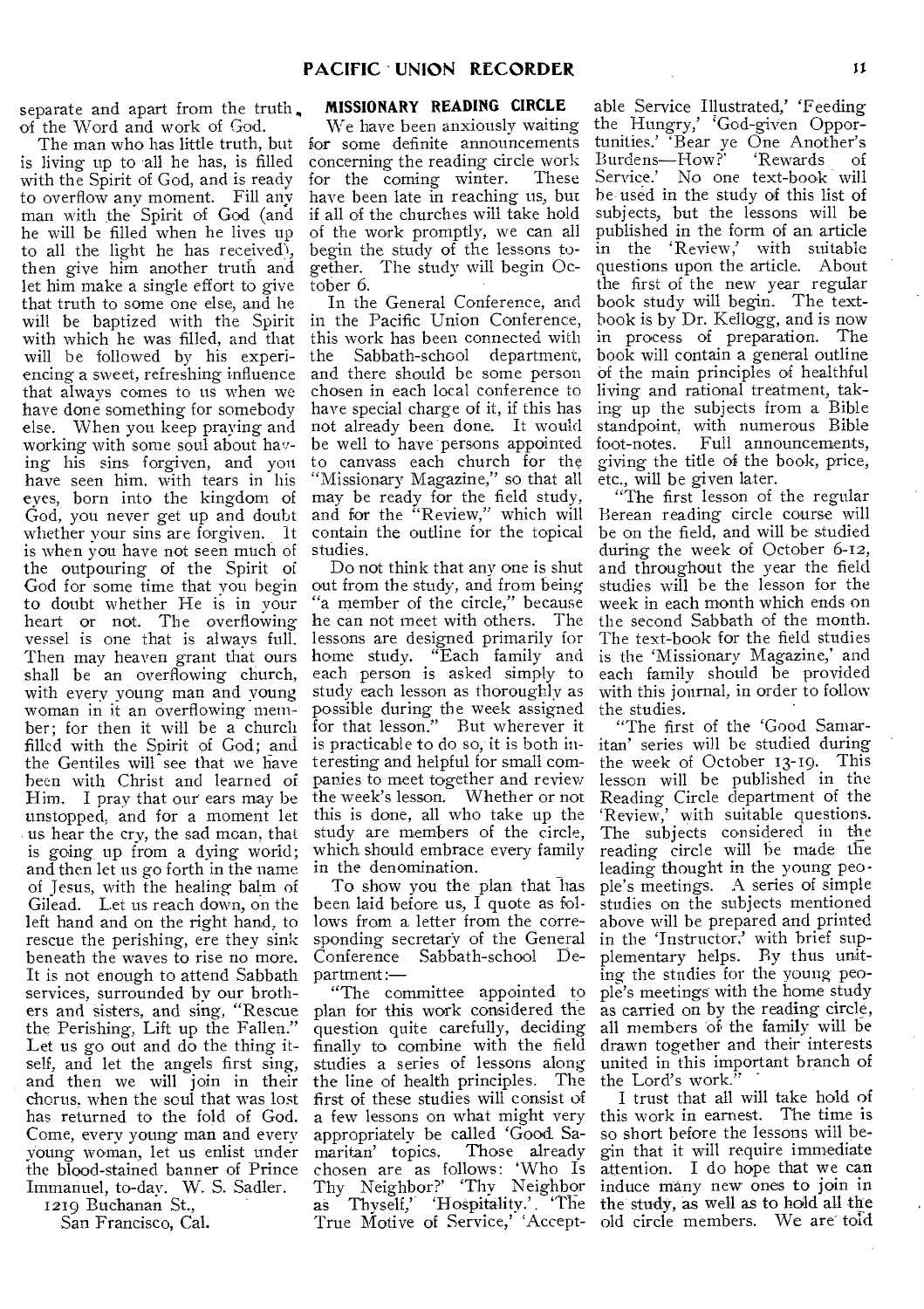separate and apart from the truth. of the Word and work of God.

is living up to all he has, is filled with the Spirit of God, and is ready to overflow any moment. Fill any man with the Spirit of God (and he will be filled when he lives up to all the light he has received), then give him another truth and let him make a single effort to give that truth to some one else, and he will be baptized with the Spirit with which he was filled, and that will be followed by his experiencing a sweet, refreshing influence that always comes to us when we have done something for somebody else. When you keep praying and working with some soul about having his sins forgiven, and you have seen him, with tears in his eves, born into the kingdom of God, you never get up and doubt whether your sins are forgiven. It is when you have not seen much of the outpouring of the Spirit of God for some time that you begin to doubt whether He is in your heart or not. The overflowing vessel is one that is always full. Then may heaven grant that ours shall be an overflowing church, with every young man and young woman in it an overflowing member; for then it will he a church filled with the Spirit of God; and the Gentiles will see that we have been with Christ and learned of Him. I pray that our ears may be unstopped, and for a moment let . us hear the cry, the sad moan, that is going up from a dying world; and then let us go forth in the name and then let us go forth in the hanne<br>of Jesus, with the healing balm of<br>Gilead. Let us reach down, on the<br>left hand and on the right hand, to<br>rescue the perishing, ere they sink Gilead. Let us reach down, on the left hand and on the right hand, to rescue the perishing, ere they sink beneath the waves to rise no more. It is not enough to attend Sabbath services, surrounded by our brothers and sisters, and sing, "Rescue the Perishing, Lift up the Fallen." Let us go out and do the thing itself, and let the angels first sing, and then we will join in their chorus, when the soul that was lost has returned to the fold of God. Come, every young man and ever' young woman, let us enlist under the blood-stained banner of Prince Immanuel, to-day. W. S. Sadler.

1219 Buchanan St., San Francisco, Cal.

# **MISSIONARY READING CIRCLE**

The man who has little truth, but for some definite announcements We have been anxiously waiting concerning the reading circle work<br>for the coming winter. These for the coming winter. have been late in reaching us, but if all of the churches will take hold of the work promptly, we can all begin the study of the lessons together. The study will begin October 6.

In the General Conference, and in the Pacific Union Conference, this work has been connected with the Sabbath-school department, and there should be some person chosen in each local conference to have special charge of it, if this has not already been done. It would be well to have persons appointed to canvass each church for the "Missionary Magazine," so that all may be ready for the field study, and for the "Review," which will contain the outline for the topical studies.

Do not think that any one is shut out from the study, and from being 'a member of the circle," because he can not meet with others. The lessons are designed primarily for home study. "Each family and each person is asked simply to study each lesson as thoroughly as possible during the week assigned for that lesson." But wherever it is practicable to do so, it is both interesting and helpful for small companies to meet together and review the week's lesson. Whether or not this is done, all who take up the study are members of the circle, which should embrace every family in the denomination.

To show you the plan that has been laid before us, I quote as follows from a letter from the corresponding secretary of the General Conference Sabbath-school Department :—

"The committee appointed to plan for this work considered the question quite carefully, deciding finally to combine with the field studies a series of lessons along the line of health principles. The first of these studies will consist of a few lessons on what might very appropriately be called 'Good Samaritan' topics. Those already chosen are as follows: 'Who Is Thy Neighbor?' Thy Neighbor as Thyself,' HoSpitality.' . 'The True Motive of Service,' Accept-

able Service Illustrated,' Feeding the Hungry,' 'God-given Opportunities.' Bear ye One Another's Burdens-How?' 'Rewards of Service.' No one text-book will he used in the study of this list of subjects, but the lessons will he published in the form of an article in the 'Review,' with suitable questions upon the article. About the first of the new year regular book study will begin. The textbook is by Dr. Kellogg, and is now in process of preparation. The book will contain a general outline Of the main principles of healthful living and rational treatment, taking up the subjects from a Bible standpoint, with numerous Bible foot-notes. Full announcements, giving the title of the book, price, etc., will be given later.

"The first lesson of the regular Berean reading circle course will be on the field, and will be studied during the week of October 6-12, and throughout the year the field studies will be the lesson for the week in each month which ends on the second Sabbath of the month. The text-hook for the field studies is the 'Missionary Magazine,' and each family should be provided with this journal, in order to follow the studies.

"The first of the 'Good Samaritan' series will be studied during the week of October 13-19. This lesson will be published in the Reading Circle department of the `Review,' with suitable questions. The subjects considered in the reading circle will he made the leading thought in the young people's meetings. A series of simple studies on the subjects mentioned above will be prepared and printed in the 'Instructor,' with brief supplementary helps. By thus uniting the studies for the young people's meetings-with the home study as carried on by the reading circle, all members of the family will be drawn together and their interests united in this important branch of the Lord's work."

I trust that all will take hold of this work in earnest. The time is so short before the lessons will begin that it will require immediate attention. I do hope that we can induce many new ones to join in the study, as well as to hold all the old circle members. We are told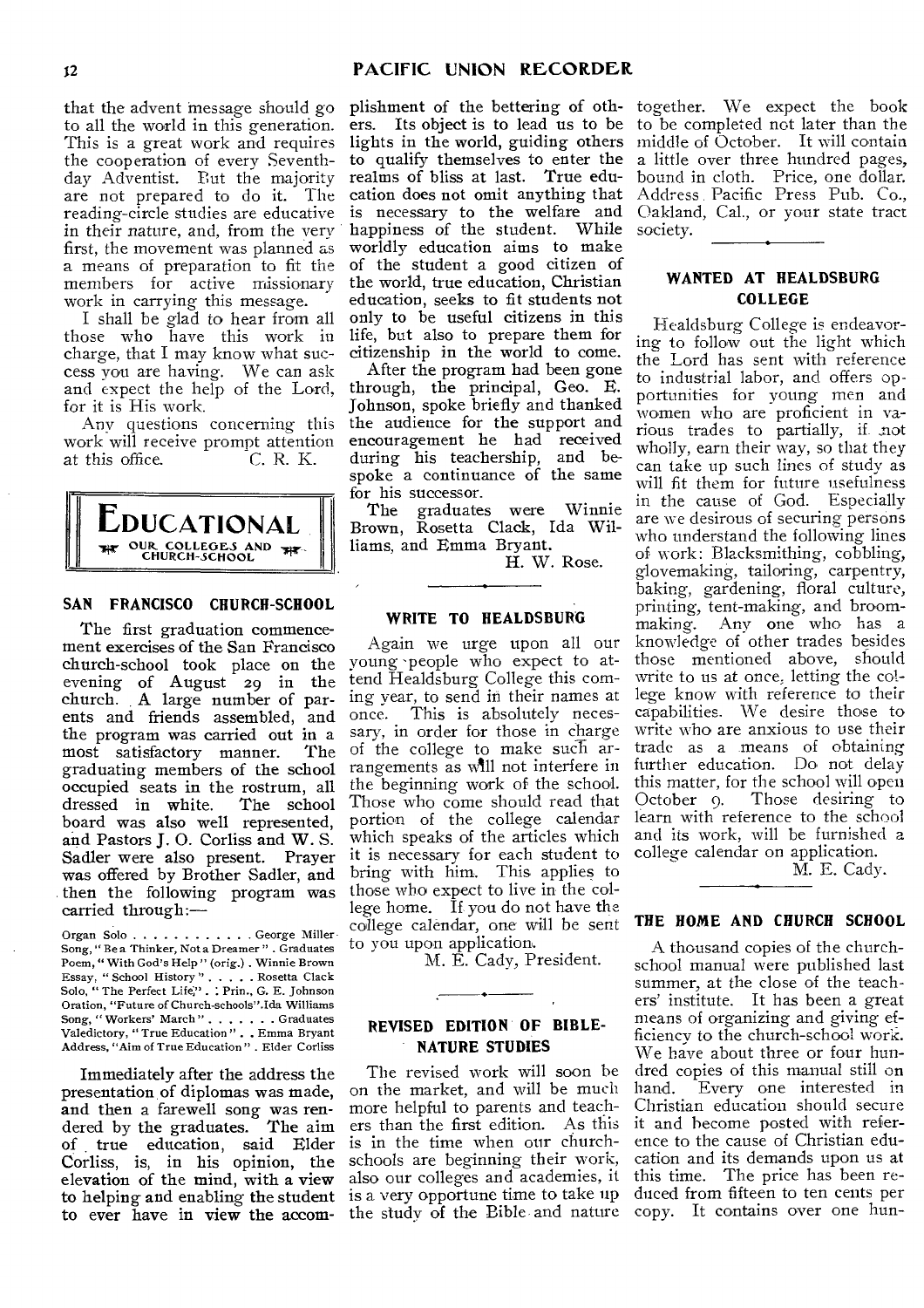that the advent message should go to all the world in this generation. This is a great work and requires the cooperation of every Seventhday Adventist. But the majority are not prepared to do it. The reading-circle studies are educative in their nature, and, from the very first, the movement was planned as a means of preparation to fit the members for active missionary work in carrying this message.

I shall be glad to hear from all those who have this work in charge, that I may know what success you are having. We can ask and expect the help of the Lord, for it is His work.

Any questions concerning this work will receive prompt attention<br>at this office. C. R. K. at this office.



#### **SAN FRANCISCO CHURCH-SCHOOL**

The first graduation commencement exercises of the San Francisco church-school took place on the evening of August 29 in the church. A large number of parents and friends assembled, and the program was carried out in a<br>most satisfactory manner. The most satisfactory manner. graduating members of the school occupied seats in the rostrum, all<br>dressed in white. The school dressed in white. board was also well represented, and Pastors **J.** 0. Corliss and W. S. Sadler were also present. Prayer was offered by Brother Sadler, and then the following program was carried through:—

Organ Solo . . . . . . . . . . . . George Miller Song, " Be a Thinker, Not a Dreamer " . Graduates Poem, " With God's Help" (orig.) . Winnie Brown Essay, "School History". . . . . Rosetta Clack<br>Solo, "The Perfect Life" . . Prin , G. E. Johnson Oration, "Future of Church-schools".Ida Williams Song, "Workers' March". . . . . . . Graduates<br>Valedictory, "True Education". . Emma Bryant Address, "Aim of True Education " . Elder Corliss

Immediately after the address the presentation, of diplomas was made, and then a farewell song was rendered by the graduates. The aim of true education, said Elder Corliss, is, in his opinion, the elevation of the mind, with a view to helping and enabling the student to ever have in view the accom-

plishment of the bettering of oth-together. We expect the book ers. Its object is to lead us to be to be completed not later than the lights in the world, guiding others middle of October. It will contain to qualify themselves to enter the a little over three hundred pages, realms of bliss at last. True edu-bound in cloth. Price, one dollar. cation does not omit anything that Address Pacific Press Pub. Co., is necessary to the welfare and Oakland, Cal., or your state tract happiness of the student. While society. worldly education aims to make of the student a good citizen of the world, true education, Christian education, seeks to fit students not only to be useful citizens in this life, but also to prepare them for citizenship in the world to come.

After the program had been gone through, the principal, Geo. E. Johnson, spoke briefly and thanked the audience for the support and encouragement he had received during his teachership, and bespoke a continuance of the same for his successor.

The graduates were Winnie Brown, Rosetta Clack, Ida Williams, and Emma Bryant.

**H.** W. Rose.

# **WRITE TO HEALDSBURG**

Again we urge upon all our young 'people who expect to attend Healdsburg College this coming year, to send in their names at once. This is absolutely necessary, in order for those in charge of the college to make such arrangements as will not interfere in the beginning work of the school. Those who come should read that portion of the college calendar which speaks of the articles which it is necessary for each student to bring with him. This applies to those who expect to live in the college home. If you do not have the college calendar, one will be sent to you upon application.

M. E. Cady, President.

# **REVISED EDITION OF BIBLE-NATURE STUDIES**

•

The revised work will soon be on the market, and will be much more helpful to parents and teachers than the first edition. As this is in the time when our churchschools are beginning their work, also our colleges and academies, it is a very opportune time to take up the study of the Bible and nature copy. It contains over one hun-

# **WANTED AT HEALDSBURG COLLEGE**

If ealdsburg College is endeavoring to follow out the light which the Lord has sent with reference to industrial labor, and offers opportunities for young men and women who are proficient in various trades to partially, if. not wholly, earn their way, so that they can take up such lines of study as will fit them for future usefulness in the cause of God. Especially are we desirous of securing persons who understand the following lines of work: Blacksmithing, cobbling, glovemaking, tailoring, carpentry, baking, gardening, floral culture, printing, tent-making, and broommaking. Any one who has a knowledge of other trades besides those mentioned above, should write to us at once, letting the college know with reference to their capabilities. We desire those to write who are anxious to use their trade as a means of obtaining further education. Do not delay this matter, for the school will open October 9. Those desiring to learn with reference to the school and its work, will be furnished a college calendar on application.

M. E. Cady.

#### **THE HOME AND CHURCH SCHOOL**

A thousand copies of the churchschool manual were published last summer, at the close of the teachers' institute. It has been a great means of organizing and giving efficiency to the church-school work. We have about three or four hundred copies of this manual still on<br>hand. Every one interested in Every one interested in Christian education should secure it and become posted with reference to the cause of Christian education and its demands upon us at this time. The price has been reduced from fifteen to ten cents per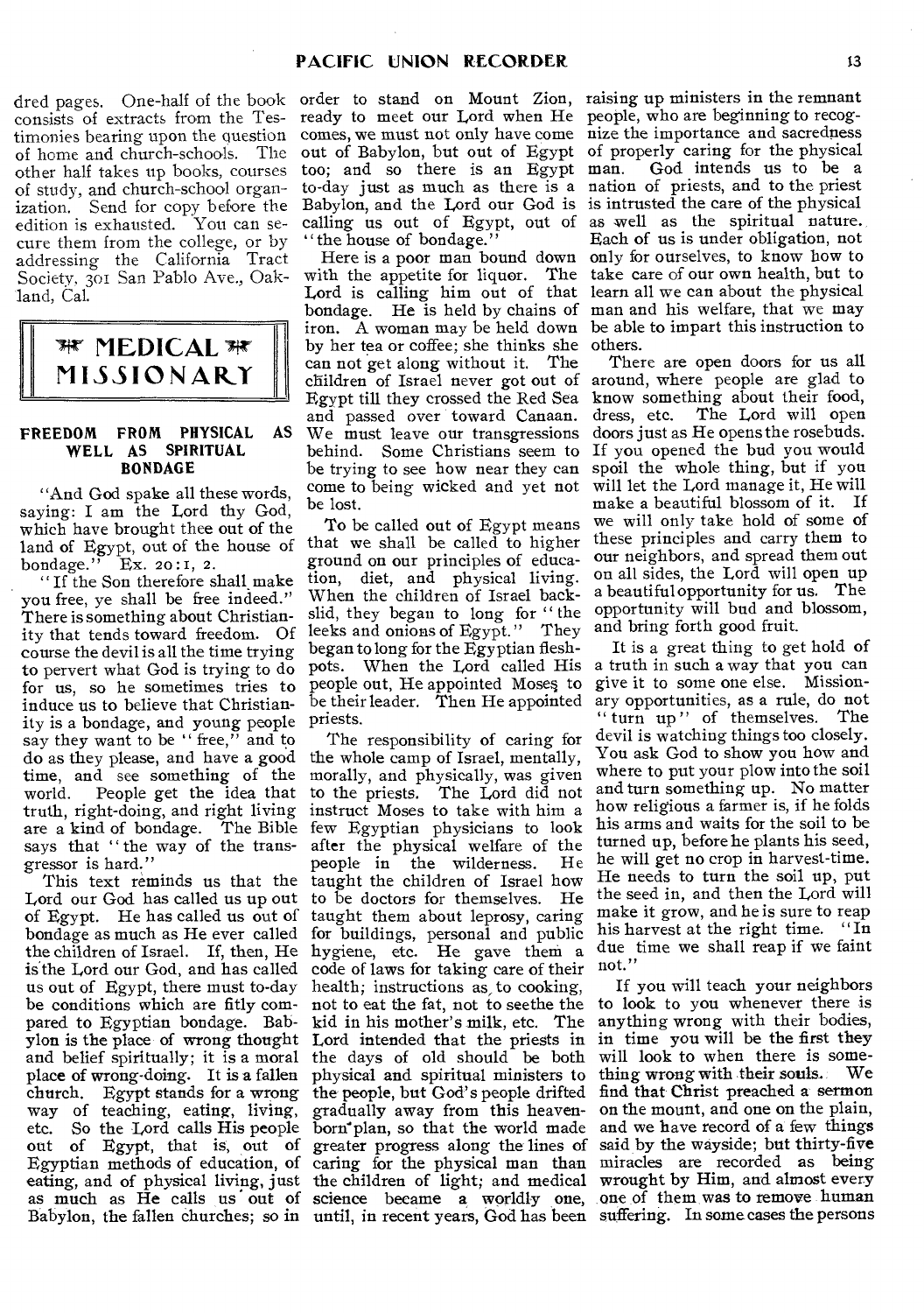consists of extracts from the Testimonies bearing upon the question of home and church-schools. The other half takes up books, courses of study, and church-school organization. Send for copy before the edition is exhausted. You can secure them from the college, or by addressing the California Tract Society, 301 San Pablo Ave., Oakland, Cal.



#### **FREEDOM FROM PHYSICAL AS WELL AS SPIRITUAL BONDAGE**

"And God spake all these words, saying: I am the Lord thy God, which have brought thee out of the land of Egypt, out of the house of bondage." Ex. 20:I, 2.

" If the Son therefore shall make you free, ye shall be free indeed." There is something about Christianity that tends toward freedom. Of course the devil is all the time trying to pervert what God is trying to do for us, so he sometimes tries to induce us to believe that Christianity is a bondage, and young people say they want to be "free," and to do as they please, and have a good time, and see something of the<br>world. People get the idea that People get the idea that truth, right-doing, and right living are a kind of bondage. The Bible says that "the way of the transgressor is hard."

eating, and of physical living, just the children of light; and medical wrought by Him, and almost every as much as He calls us out of science became a worldly one, one of them was to remove human Babylon, the fallen churches; so in until, in recent years, God has been suffering. In some cases the persons This text reminds us that the Lord our God has called us up out of Egypt. He has called us out of bondage as much as He ever called the children of Israel. If, then, He is the Lord our God, and has called us out of Egypt, there must to-day be conditions which are fitly compared to Egyptian bondage. Babylon is the place of wrong thought and belief spiritually; it is a moral place of wrong-doing. It is a fallen church. Egypt stands for a wrong way of teaching, eating, living, etc. So the Lord calls His people born plan, so that the world made<br>out of Egypt, that is, out of greater progress along the lines of out of Egypt, that is, out of greater progress along the lines of Egyptian methods of education, of caring for the physical man than

ready to meet our Lord when He people, who are beginning to recog-Babylon, and the Lord our God is is intrusted the care of the physical " the house of bondage."

with the appetite for liquor. The take care of our own health, but to Here is a poor man bound down Lord is calling him out of that bondage. He is held by chains of iron. A woman may be held down by her tea or coffee; she thinks she can not get along without it. The children of Israel never got out of Egypt till they crossed the Red Sea and passed over toward Canaan. We must leave our transgressions behind. Some Christians seem to be trying to see how near they can come to being wicked and yet not be lost.

To be called out of Egypt means that we shall be called to higher ground on our principles of education, diet, and physical living. When the children of Israel backslid, they began to long for "the leeks and onions of Egypt." They began to long for the Egyptian fleshpots. When the Lord called His people out, He appointed Moses to be their leader. Then He appointed priests.

The responsibility of caring for the whole camp of Israel, mentally, morally, and physically, was given to the priests. The Lord did not instruct Moses to take with him a few Egyptian physicians to look after the physical welfare of the<br>people in the wilderness. He people in the wilderness. taught the children of Israel how<br>to be doctors for themselves. He to be doctors for themselves. taught them about leprosy, caring for buildings, personal and public hygiene, etc. He gave them a code of laws for taking care of their health; instructions as, to cooking, not to eat the fat, not to seethe the kid in his mother's milk, etc. The Lord intended that the priests in the days of old should be both physical and spiritual ministers to the people, but God's people drifted gradually away from this heaven-

dred pages. One-half of the book order to stand on Mount Zion, raising up ministers in the remnant comes, we must not only have come nize the importance and sacredness out of Babylon, but out of Egypt of properly caring for the physical too; and so there is an Egypt man. God intends us to be a to-day just as much as there is a nation of priests, and to the priest calling us out of Egypt, out of as well as the spiritual nature. Each of us is under obligation, not only for ourselves, to know how to learn all we can about the physical man and his welfare, that we may be able to impart this instruction to others.

> There are open doors for us all around, where people are glad to know something about their food, dress, etc. The Lord will open doors just as He opens the rosebuds. If you opened the bud you would spoil the whole thing, but if you will let the Lord manage it, He will make a beautiful blossom of it. If we will only take hold of some of these principles and carry them to our neighbors, and spread them out on all sides, the Lord will open up a beautiful opportunity for us. The opportunity will bud and blossom, and bring forth good fruit.

It is a great thing to get hold of a truth in such a way that you can give it to some one else. Missionary opportunities, as a rule, do not " turn up" of themselves. The devil is watching things too closely. You ask God to show you how and where to put your plow into the soil and turn something up. No matter how religious a farmer is, if he folds his arms and waits for the soil to be turned up, before he plants his seed, he will get no crop in harvest-time. He needs to turn the soil up, put the seed in, and then the Lord will make it grow, and he is sure to reap his harvest at the right time. "In due time we shall reap if we faint not."

If you will teach your neighbors to look to you whenever there is anything wrong with their bodies, in time you will be the first they will look to when there is some-<br>thing wrong with their souls. We thing wrong with their souls. find that Christ preached a sermon on the mount, and one on the plain, and we have record of a few things said by the wayside; but thirty-five miracles are recorded as being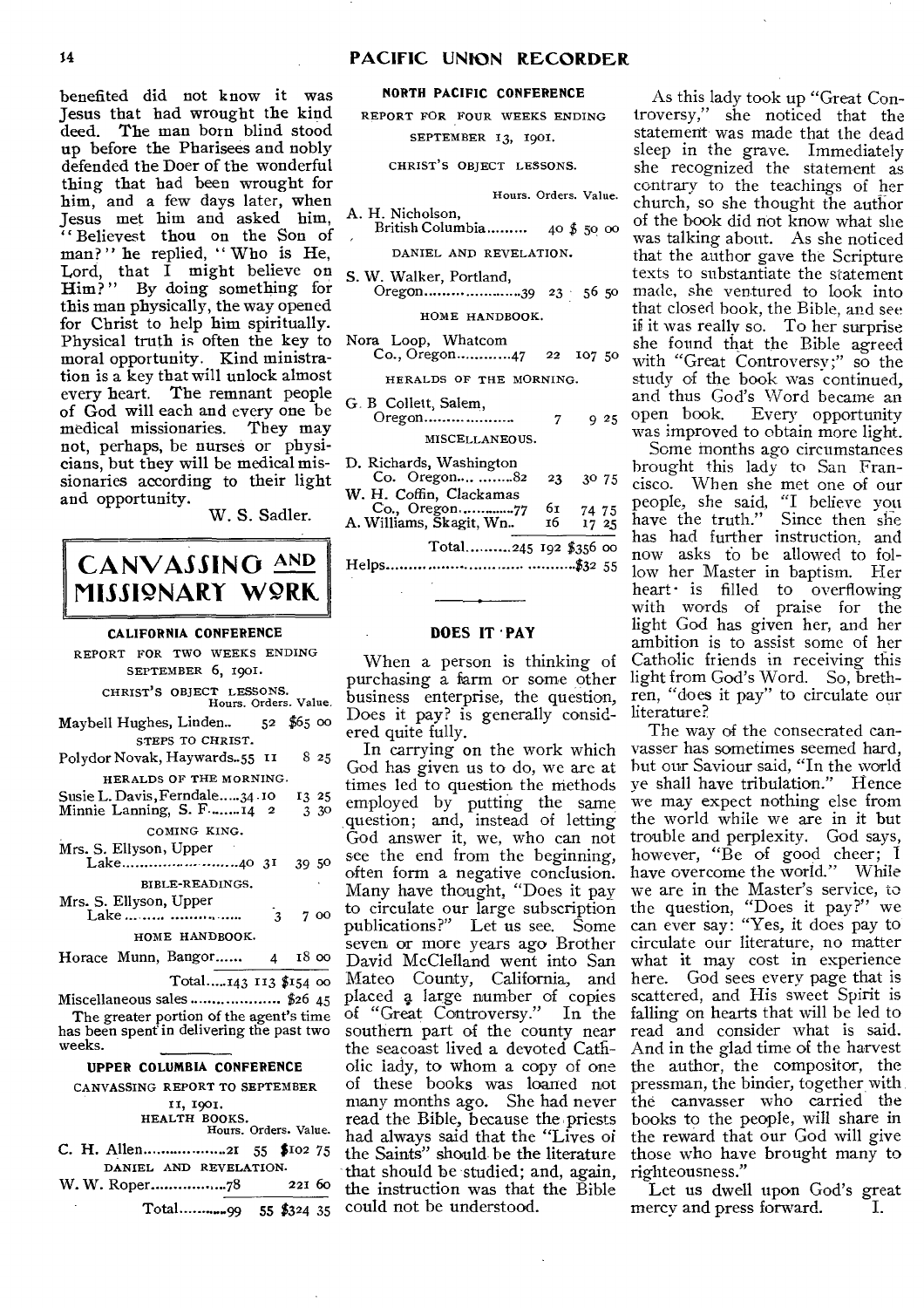#### **PACIFIC UNION RECORDER**

benefited did not know it was Jesus that had wrought the kind deed. The man born blind stood up before the Pharisees and nobly defended the Doer of the wonderful thing that had been wrought for him, and a few days later, when Jesus met him and asked him, " Believest thou on the Son of man?" he replied, "Who is He, Lord, that I might believe on Him? " By doing something for this man physically, the way opened for Christ to help him spiritually. Physical truth is often the key to N moral opportunity. Kind ministration is a key that will unlock almost<br>every heart. The remnant people The remnant people of God will each and every one be medical missionaries. They may not, perhaps, be nurses or physicians, but they will be medical missionaries according to their light and opportunity.

W. S. Sadler.

# **CANVASSING AND IlISSI2NART WORK.**

#### **CALIFORNIA CONFERENCE**

REPORT FOR TWO WEEKS ENDING SEPTEMBER 6, 1901. CHRIST'S OBJECT LESSONS. Hours. Orders. Value. Maybell Hughes, Linden.. 52 \$65 00 STEPS TO CHRIST. Polydor Novak, Haywards. 55 II 8 25 HERALDS OF THE MORNING. Susie L. Davis, Ferndale ..... 34 .10 13 25<br>Minnie Lanning, S. F. ... ... 14 2 3 30 Minnie Lanning, S. F.......14 2 COMING KING. Mrs. S. Ellyson, Upper Lake 4031 39 <sup>50</sup> BIBLE-READINGS. Mrs. S. Ellyson, Upper Lake ... 7 oo HOME HANDBOOK. Horace Munn, Bangor......  $\mu$  18  $\infty$ Total.....143 113 \$154 00 Miscellaneous sales \$26 45 The greater portion of the agent's time has been spent in delivering the past two

# weeks.

# **UPPER COLUMBIA CONFERENCE**

CANVASSING REPORT TO SEPTEMBER II, 1901. HEALTH BOOKS. Hours. Orders. Value. C. H. Allen 21 55 \$102 75 DANIEL AND REVELATION. W. W. Roper 78 221 6o Total

#### **NORTH PACIFIC CONFERENCE**

REPORT FOR FOUR WEEKS ENDING SEPTEMBER 13, 1901.

CHRIST'S OBJECT LESSONS.

|  | Hours. Orders. Value. |  |
|--|-----------------------|--|
|--|-----------------------|--|

A. H. Nicholson, British Columbia ......... 40  $$$  50 00

# DANIEL AND REVELATION.

S. W. Walker, Portland, Oregon 39 23 56 5o

# HOME HANDBOOK.

| Nora Loop, Whatcom |                         |  |  |
|--------------------|-------------------------|--|--|
|                    | Co., Oregon47 22 107 50 |  |  |
|                    |                         |  |  |

Oregon 7 9 25

| D. Richards, Washington<br>Co. Oregon 82            | 23       | 30 75          |
|-----------------------------------------------------|----------|----------------|
| W. H. Coffin, Clackamas<br>A. Williams, Skagit, Wn. | 6т<br>16 | 74 75<br>17 25 |
| Total245 192 \$356 00                               |          |                |
|                                                     |          |                |

#### **DOES IT • PAY**

When a person is thinking of purchasing a farm or some other business enterprise, the question, Does it pay? is generally considered quite fully.

In carrying on the work which God has given us to do, we are at times led to question the methods employed by putting the same question; and, instead of letting God answer it, we, who can not see the end from the beginning, often form a negative conclusion. Many have thought, "Does it pay to circulate our large subscription publications?" Let us see. Some seven or more years ago Brother David McClelland went into San Mateo County, California, and placed a large number of copies<br>of "Great Controversy." In the of "Great Controversy." southern part of the county near the seacoast lived a devoted Catholic lady, to whom a copy of one of these books was loaned not many months ago. She had never read the Bible, because the priests had always said that the "Lives of the Saints" should be the literature that should be studied; and, again, the instruction was that the Bible  $\overline{99}$  55 \$324 35 could not be understood. mercy and press forward. I.

As this lady took up "Great Controversy," she noticed that the statement was made that the dead sleep in the grave. Immediately she recognized the statement as contrary to the teachings of her church, so she thought the author of the book did not know what she was talking about. As she noticed that the author gave the Scripture texts to substantiate the statement made, she ventured to look into that closed hook, the Bible, and see if it was really so. To her surprise she found that the Bible agreed with "Great Controversy;" so the study of the book was continued, and thus God's Word became an Every opportunity was improved to obtain more light.

Some months ago circumstances brought this lady to San Francisco. When she met one of our people, she said, "I believe you Since then she has had further instruction, and now asks fo be allowed to follow her Master in baptism. Her heart  $\cdot$  is filled to overflowing with words of praise for the light God has given her, and her ambition is to assist some of her Catholic friends in receiving this light from God's Word. So, brethren, "does it pay" to circulate our literature?

The way of the consecrated canvasser has sometimes seemed hard, hut our Saviour said, "In the world ye shall have tribulation." Hence we may expect nothing else from the world while we are in it but trouble and perplexity. God says, however, "Be of good cheer; I have overcome the world." While we are in the Master's service, to the question, "Does it pay?" we can ever say: "Yes, it does pay to circulate our literature, no matter what it may cost in experience here. God sees every page that is scattered, and His sweet Spirit is falling on hearts that will be led to read and consider what is said. And in the glad time of the harvest the author, the compositor, the pressman, the binder, together with the canvasser who carried the books to the people, will share in the reward that our God will give those who have brought many to righteousness."

Let us dwell upon God's great<br>mercy and press forward. I.

# Nora Loop, Whatcom HERALDS OF THE MORNING. G. B Collett, Salem, MISCELLANEOUS.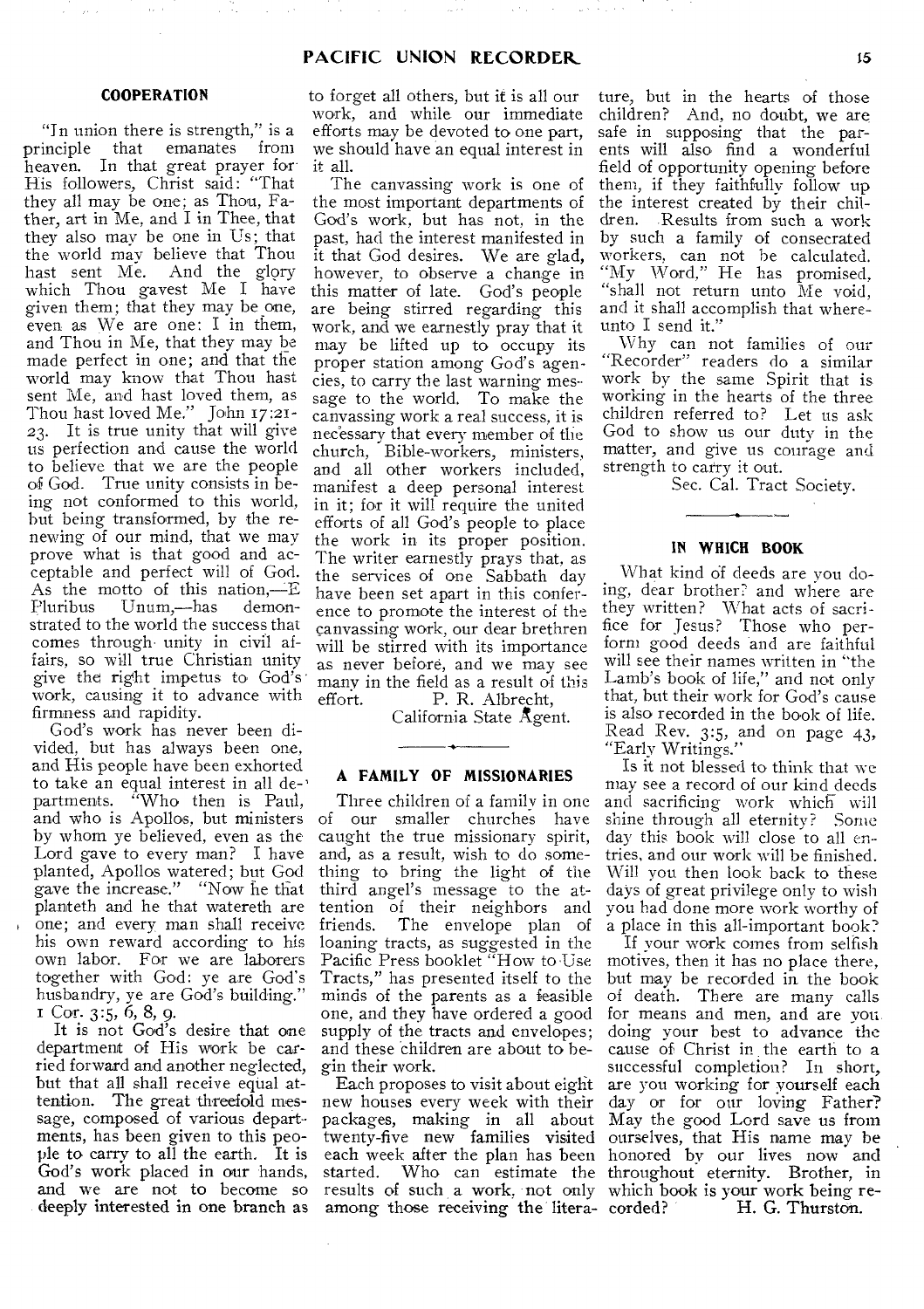والوارث والأسابين

Ñ.

 $\mathcal{L}_{\mathcal{A}}$  ,  $\mathcal{L}_{\mathcal{A}}$  ,  $\mathcal{L}_{\mathcal{A}}$ 

 $\mathcal{L}$ 

#### **COOPERATION**

 $\bar{f}(\bar{f})$ 

"In union there is strength," is a principle that emanates from heaven. In that great prayer for His followers, Christ said: "That they all may be one; as Thou, Father, art in Me, and I in Thee, that they also may be one in Us; that the world may believe that Thou hast sent Me. And the glory which Thou gayest Me I have given them; that they may be one, even as We are one: I in them, and Thou in Me, that they may be made perfect in one; and that the world may know that Thou hast sent Me, and hast loved them, as Thou hast loved Me." John 17:21- 23. It is true unity that will give us perfection and cause the world to believe that we are the people of God. True unity consists in being not conformed to this world, but being transformed, by the renewing of our mind, that we may prove what is that good and acceptable and perfect will of God. As the motto of this nation,—E<br>Pluribus Unum,—has demon-Unum,—has demonstrated to the world the success that comes through' unity in civil affairs, so will true Christian unity give the right impetus to God's work, causing it to advance with firmness and rapidity.

God's work has never been divided, but has always been one, and His people have been exhorted to take an equal interest in all de-<br>partments. "Who then is Paul, "Who then is Paul, and who is Apollos, but ministers by whom ye believed, even as the Lord gave to every man? I have planted, Apollos watered; but God gave the increase." "Now he that planteth and he that watereth are one; and every man shall receive his own reward according to his own labor. For we are laborers together with God: ye are God's husbandry, ye are God's building." Cor. 3:5, 6, 8, 9.

It is not God's desire that one department of His work be carried forward and another neglected, but that all shall receive equal attention. The great threefold message, composed of various departments, has been given to this people to carry to all the earth. It is God's work placed in our hands, and we are not to become so deeply interested in one branch as

to forget all others, but it is all our work, and while our immediate efforts may be devoted to one part, we should have an equal interest in it all.

The canvassing work is one of the most important departments of God's work, but has not, in the past, had the interest manifested in it that God desires. We are glad, however, to observe a change in this matter of late. God's people are being stirred regarding this work, and we earnestly pray that it may be lifted up to occupy its proper station among God's agencies, to carry the last warning message to the world. To make the canvassing work a real success, it is necessary that every member of the church, Bible-workers, ministers, and all other workers included, manifest a deep personal interest in it; for it will require the united efforts of all God's people to place the work in its proper position. The writer earnestly prays that, as the services of one Sabbath day have been set apart in this conference to promote the interest of the canvassing work, our dear brethren will be stirred with its importance as never before, and we may see many in the field as a result of this<br>effort. P. R. Albrecht. P. R. Albrecht,

California State Agent.

## **A FAMILY OF MISSIONARIES**

Three children of a family in one of our smaller churches have caught the true missionary spirit, and, as a result, wish to do something to bring the light of the third angel's message to the attention of their neighbors and friends. The envelope plan of loaning tracts, as suggested in the Pacific Press booklet "How to Use Tracts," has presented itself to the minds of the parents as a feasible one, and they have ordered a good supply of the tracts and envelopes; and these children are about to begin their work.

Each proposes to visit about eight new houses every week with their packages, making in all about results of such a work, not only which book is your work being reamong those receiving the litera- corded?

ture, but in the hearts of those children? And, no doubt, we are safe in supposing that the parents will also find a wonderful field of opportunity opening before them, if they faithfully follow up the interest created by their children. Results from such a work by such a family of consecrated workers, can not be calculated.<br>"My Word," He has promised, "shall not return unto Me void, and it shall accomplish that whereunto I send it."

Why can not families of our "Recorder" readers do a similar work by the same Spirit that is working in the hearts of the three children referred to? Let us ask God to show us our duty in the matter, and give us courage and strength to carry it out.

Sec. Cal. Tract Society.

#### **IN WHICH BOOK**

What kind of deeds are you doing, dear brother? and where are they written? What acts of sacrifice for Jesus? Those who perform good deeds and are faithful will see their names written in "the Lamb's book of life," and not only that, but their work for God's cause is also recorded in the book of life. Read Rev. 3:5, and on page 43, "Early Writings."

Is it not blessed to think that we may see a record of our kind deeds and sacrificing work which will shine through all eternity? Some day this book will close to all en- tries, and our work will be finished. Will you then look back to these days of great privilege only to wish you had done more work worthy of a place in this all-important book?

twenty-five new families visited ourselves, that His name may be each week after the plan has been honored by our lives now and started. Who can estimate the throughout eternity. Brother, in If your work comes from selfish motives, then it has no place there, but may be recorded in the book of death. There are many calls for means and men, and are you. doing your best to advance the cause of Christ in the earth to a successful completion? In short, are you working for yourself each day or for our loving Father? May the good Lord save us from H. G. Thurston.